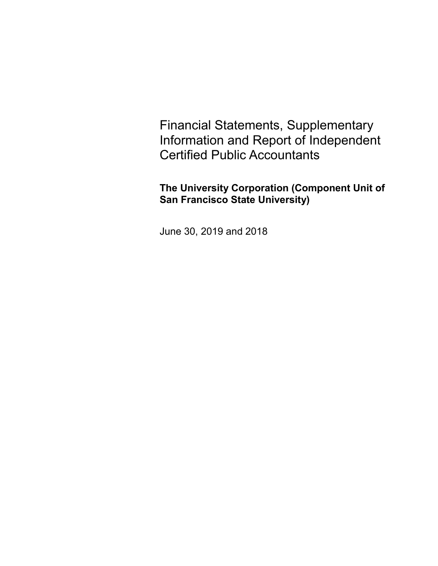Financial Statements, Supplementary Information and Report of Independent Certified Public Accountants

**The University Corporation (Component Unit of San Francisco State University)**

June 30, 2019 and 2018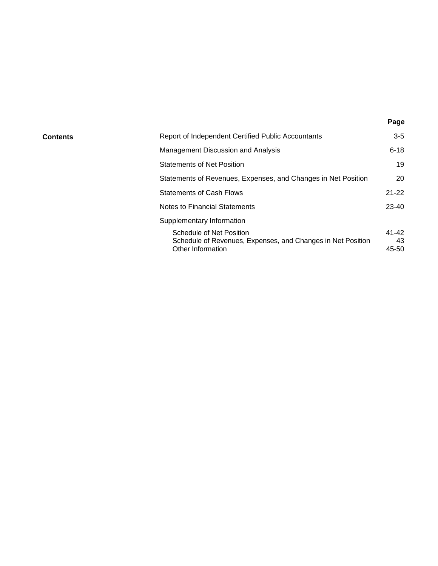| <b>Contents</b> |
|-----------------|
|-----------------|

|                                                                                                              | Page                 |
|--------------------------------------------------------------------------------------------------------------|----------------------|
| Report of Independent Certified Public Accountants                                                           | $3-5$                |
| <b>Management Discussion and Analysis</b>                                                                    | $6 - 18$             |
| <b>Statements of Net Position</b>                                                                            | 19                   |
| Statements of Revenues, Expenses, and Changes in Net Position                                                | 20                   |
| <b>Statements of Cash Flows</b>                                                                              | $21 - 22$            |
| Notes to Financial Statements                                                                                | $23-40$              |
| Supplementary Information                                                                                    |                      |
| Schedule of Net Position<br>Schedule of Revenues, Expenses, and Changes in Net Position<br>Other Information | 41-42<br>43<br>45-50 |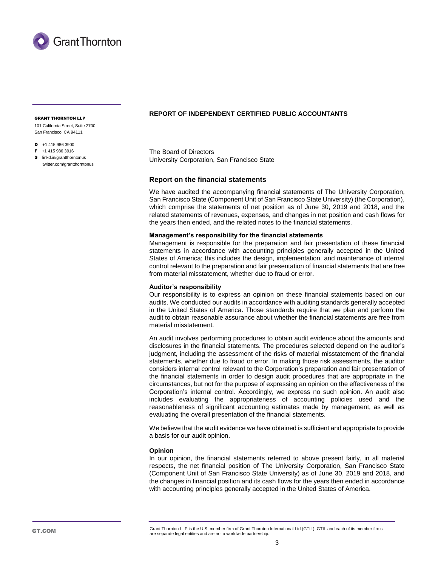

#### GRANT THORNTON **LLP**

101 California Street, Suite 2700 San Francisco, CA 94111

 $\overline{D}$  +1 415 986 3900

F +1 415 986 3916

S linkd.in/grantthorntonus twitter.com/grantthorntonus

#### **REPORT OF INDEPENDENT CERTIFIED PUBLIC ACCOUNTANTS**

The Board of Directors University Corporation, San Francisco State

#### **Report on the financial statements**

We have audited the accompanying financial statements of The University Corporation, San Francisco State (Component Unit of San Francisco State University) (the Corporation), which comprise the statements of net position as of June 30, 2019 and 2018, and the related statements of revenues, expenses, and changes in net position and cash flows for the years then ended, and the related notes to the financial statements.

#### **Management's responsibility for the financial statements**

Management is responsible for the preparation and fair presentation of these financial statements in accordance with accounting principles generally accepted in the United States of America; this includes the design, implementation, and maintenance of internal control relevant to the preparation and fair presentation of financial statements that are free from material misstatement, whether due to fraud or error.

#### **Auditor's responsibility**

Our responsibility is to express an opinion on these financial statements based on our audits. We conducted our audits in accordance with auditing standards generally accepted in the United States of America. Those standards require that we plan and perform the audit to obtain reasonable assurance about whether the financial statements are free from material misstatement.

An audit involves performing procedures to obtain audit evidence about the amounts and disclosures in the financial statements. The procedures selected depend on the auditor's judgment, including the assessment of the risks of material misstatement of the financial statements, whether due to fraud or error. In making those risk assessments, the auditor considers internal control relevant to the Corporation's preparation and fair presentation of the financial statements in order to design audit procedures that are appropriate in the circumstances, but not for the purpose of expressing an opinion on the effectiveness of the Corporation's internal control. Accordingly, we express no such opinion. An audit also includes evaluating the appropriateness of accounting policies used and the reasonableness of significant accounting estimates made by management, as well as evaluating the overall presentation of the financial statements.

We believe that the audit evidence we have obtained is sufficient and appropriate to provide a basis for our audit opinion.

#### **Opinion**

In our opinion, the financial statements referred to above present fairly, in all material respects, the net financial position of The University Corporation, San Francisco State (Component Unit of San Francisco State University) as of June 30, 2019 and 2018, and the changes in financial position and its cash flows for the years then ended in accordance with accounting principles generally accepted in the United States of America.

<sup>3</sup> are separate legal entities and are not a worldwide partnership. Grant Thornton LLP is the U.S. member firm of Grant Thornton International Ltd (GTIL). GTIL and each of its member firms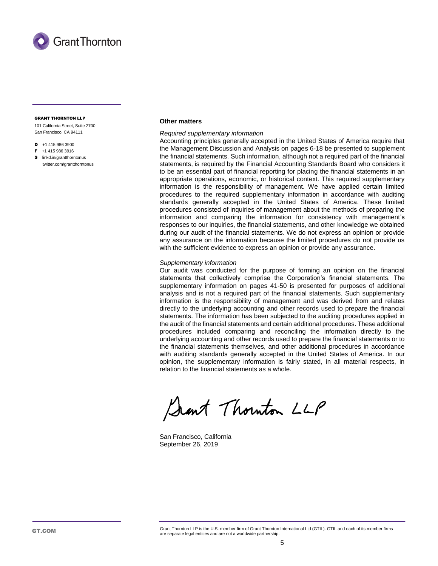

#### GRANT THORNTON **LLP**

101 California Street, Suite 2700 San Francisco, CA 94111

 $\overline{D}$  +1 415 986 3900

F +1 415 986 3916

S linkd.in/grantthorntonus twitter.com/grantthorntonus

#### **Other matters**

#### *Required supplementary information*

Accounting principles generally accepted in the United States of America require that the Management Discussion and Analysis on pages 6-18 be presented to supplement the financial statements. Such information, although not a required part of the financial statements, is required by the Financial Accounting Standards Board who considers it to be an essential part of financial reporting for placing the financial statements in an appropriate operations, economic, or historical context. This required supplementary information is the responsibility of management. We have applied certain limited procedures to the required supplementary information in accordance with auditing standards generally accepted in the United States of America. These limited procedures consisted of inquiries of management about the methods of preparing the information and comparing the information for consistency with management's responses to our inquiries, the financial statements, and other knowledge we obtained during our audit of the financial statements. We do not express an opinion or provide any assurance on the information because the limited procedures do not provide us with the sufficient evidence to express an opinion or provide any assurance.

#### *Supplementary information*

Our audit was conducted for the purpose of forming an opinion on the financial statements that collectively comprise the Corporation's financial statements. The supplementary information on pages 41-50 is presented for purposes of additional analysis and is not a required part of the financial statements. Such supplementary information is the responsibility of management and was derived from and relates directly to the underlying accounting and other records used to prepare the financial statements. The information has been subjected to the auditing procedures applied in the audit of the financial statements and certain additional procedures. These additional procedures included comparing and reconciling the information directly to the underlying accounting and other records used to prepare the financial statements or to the financial statements themselves, and other additional procedures in accordance with auditing standards generally accepted in the United States of America. In our opinion, the supplementary information is fairly stated, in all material respects, in relation to the financial statements as a whole.

Dent Thouton LLP

San Francisco, California September 26, 2019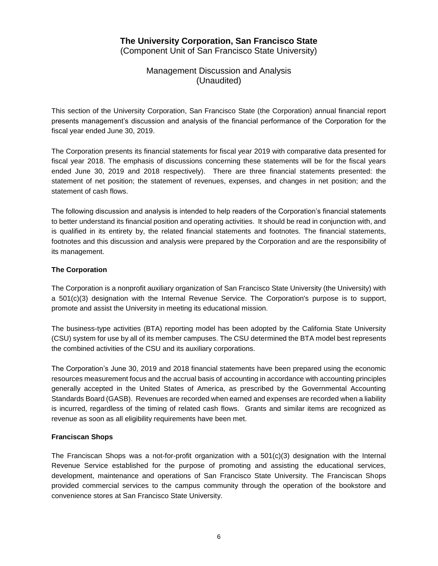Management Discussion and Analysis (Unaudited)

This section of the University Corporation, San Francisco State (the Corporation) annual financial report presents management's discussion and analysis of the financial performance of the Corporation for the fiscal year ended June 30, 2019.

The Corporation presents its financial statements for fiscal year 2019 with comparative data presented for fiscal year 2018. The emphasis of discussions concerning these statements will be for the fiscal years ended June 30, 2019 and 2018 respectively). There are three financial statements presented: the statement of net position; the statement of revenues, expenses, and changes in net position; and the statement of cash flows.

The following discussion and analysis is intended to help readers of the Corporation's financial statements to better understand its financial position and operating activities. It should be read in conjunction with, and is qualified in its entirety by, the related financial statements and footnotes. The financial statements, footnotes and this discussion and analysis were prepared by the Corporation and are the responsibility of its management.

## **The Corporation**

The Corporation is a nonprofit auxiliary organization of San Francisco State University (the University) with a 501(c)(3) designation with the Internal Revenue Service. The Corporation's purpose is to support, promote and assist the University in meeting its educational mission.

The business-type activities (BTA) reporting model has been adopted by the California State University (CSU) system for use by all of its member campuses. The CSU determined the BTA model best represents the combined activities of the CSU and its auxiliary corporations.

The Corporation's June 30, 2019 and 2018 financial statements have been prepared using the economic resources measurement focus and the accrual basis of accounting in accordance with accounting principles generally accepted in the United States of America, as prescribed by the Governmental Accounting Standards Board (GASB). Revenues are recorded when earned and expenses are recorded when a liability is incurred, regardless of the timing of related cash flows. Grants and similar items are recognized as revenue as soon as all eligibility requirements have been met.

## **Franciscan Shops**

The Franciscan Shops was a not-for-profit organization with a 501(c)(3) designation with the Internal Revenue Service established for the purpose of promoting and assisting the educational services, development, maintenance and operations of San Francisco State University. The Franciscan Shops provided commercial services to the campus community through the operation of the bookstore and convenience stores at San Francisco State University.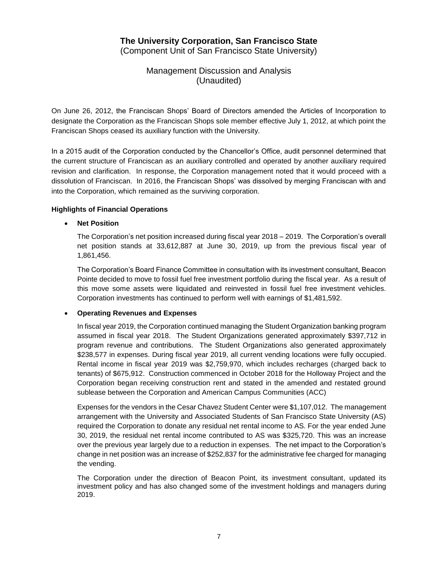Management Discussion and Analysis (Unaudited)

On June 26, 2012, the Franciscan Shops' Board of Directors amended the Articles of Incorporation to designate the Corporation as the Franciscan Shops sole member effective July 1, 2012, at which point the Franciscan Shops ceased its auxiliary function with the University.

In a 2015 audit of the Corporation conducted by the Chancellor's Office, audit personnel determined that the current structure of Franciscan as an auxiliary controlled and operated by another auxiliary required revision and clarification. In response, the Corporation management noted that it would proceed with a dissolution of Franciscan. In 2016, the Franciscan Shops' was dissolved by merging Franciscan with and into the Corporation, which remained as the surviving corporation.

## **Highlights of Financial Operations**

## **Net Position**

The Corporation's net position increased during fiscal year 2018 – 2019. The Corporation's overall net position stands at 33,612,887 at June 30, 2019, up from the previous fiscal year of 1,861,456.

The Corporation's Board Finance Committee in consultation with its investment consultant, Beacon Pointe decided to move to fossil fuel free investment portfolio during the fiscal year. As a result of this move some assets were liquidated and reinvested in fossil fuel free investment vehicles. Corporation investments has continued to perform well with earnings of \$1,481,592.

## **Operating Revenues and Expenses**

In fiscal year 2019, the Corporation continued managing the Student Organization banking program assumed in fiscal year 2018. The Student Organizations generated approximately \$397,712 in program revenue and contributions. The Student Organizations also generated approximately \$238,577 in expenses. During fiscal year 2019, all current vending locations were fully occupied. Rental income in fiscal year 2019 was \$2,759,970, which includes recharges (charged back to tenants) of \$675,912. Construction commenced in October 2018 for the Holloway Project and the Corporation began receiving construction rent and stated in the amended and restated ground sublease between the Corporation and American Campus Communities (ACC)

Expenses for the vendors in the Cesar Chavez Student Center were \$1,107,012. The management arrangement with the University and Associated Students of San Francisco State University (AS) required the Corporation to donate any residual net rental income to AS. For the year ended June 30, 2019, the residual net rental income contributed to AS was \$325,720. This was an increase over the previous year largely due to a reduction in expenses. The net impact to the Corporation's change in net position was an increase of \$252,837 for the administrative fee charged for managing the vending.

The Corporation under the direction of Beacon Point, its investment consultant, updated its investment policy and has also changed some of the investment holdings and managers during 2019.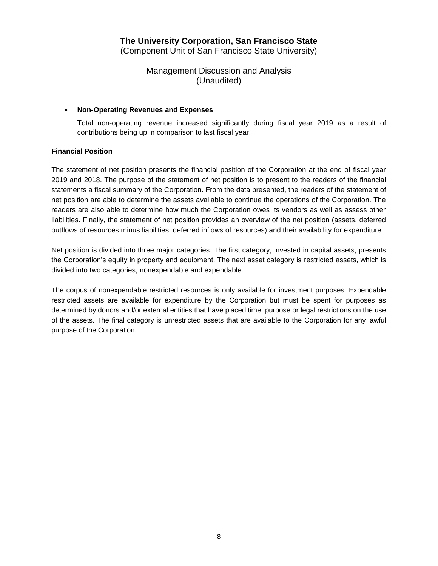Management Discussion and Analysis (Unaudited)

## **Non-Operating Revenues and Expenses**

Total non-operating revenue increased significantly during fiscal year 2019 as a result of contributions being up in comparison to last fiscal year.

## **Financial Position**

The statement of net position presents the financial position of the Corporation at the end of fiscal year 2019 and 2018. The purpose of the statement of net position is to present to the readers of the financial statements a fiscal summary of the Corporation. From the data presented, the readers of the statement of net position are able to determine the assets available to continue the operations of the Corporation. The readers are also able to determine how much the Corporation owes its vendors as well as assess other liabilities. Finally, the statement of net position provides an overview of the net position (assets, deferred outflows of resources minus liabilities, deferred inflows of resources) and their availability for expenditure.

Net position is divided into three major categories. The first category, invested in capital assets, presents the Corporation's equity in property and equipment. The next asset category is restricted assets, which is divided into two categories, nonexpendable and expendable.

The corpus of nonexpendable restricted resources is only available for investment purposes. Expendable restricted assets are available for expenditure by the Corporation but must be spent for purposes as determined by donors and/or external entities that have placed time, purpose or legal restrictions on the use of the assets. The final category is unrestricted assets that are available to the Corporation for any lawful purpose of the Corporation.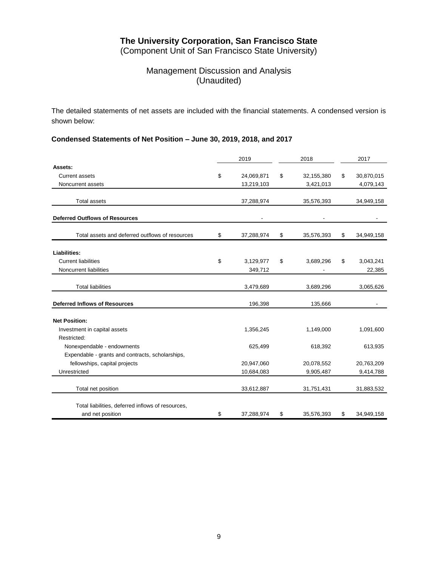(Component Unit of San Francisco State University)

## Management Discussion and Analysis (Unaudited)

The detailed statements of net assets are included with the financial statements. A condensed version is shown below:

## **Condensed Statements of Net Position – June 30, 2019, 2018, and 2017**

|                                                   | 2019             | 2018 |            | 2017             |
|---------------------------------------------------|------------------|------|------------|------------------|
| <b>Assets:</b>                                    |                  |      |            |                  |
| <b>Current assets</b>                             | \$<br>24,069,871 | \$   | 32,155,380 | \$<br>30,870,015 |
| Noncurrent assets                                 | 13,219,103       |      | 3,421,013  | 4,079,143        |
|                                                   |                  |      |            |                  |
| <b>Total assets</b>                               | 37,288,974       |      | 35,576,393 | 34,949,158       |
| <b>Deferred Outflows of Resources</b>             |                  |      |            |                  |
| Total assets and deferred outflows of resources   | \$<br>37,288,974 | \$   | 35,576,393 | \$<br>34,949,158 |
| <b>Liabilities:</b>                               |                  |      |            |                  |
| <b>Current liabilities</b>                        | \$<br>3,129,977  | \$   | 3,689,296  | \$<br>3,043,241  |
| Noncurrent liabilities                            | 349,712          |      |            | 22,385           |
| <b>Total liabilities</b>                          | 3,479,689        |      | 3,689,296  | 3,065,626        |
| <b>Deferred Inflows of Resources</b>              | 196,398          |      | 135,666    |                  |
| <b>Net Position:</b>                              |                  |      |            |                  |
| Investment in capital assets                      | 1,356,245        |      | 1,149,000  | 1,091,600        |
| Restricted:                                       |                  |      |            |                  |
| Nonexpendable - endowments                        | 625,499          |      | 618,392    | 613,935          |
| Expendable - grants and contracts, scholarships,  |                  |      |            |                  |
| fellowships, capital projects                     | 20,947,060       |      | 20,078,552 | 20,763,209       |
| Unrestricted                                      | 10,684,083       |      | 9,905,487  | 9,414,788        |
| Total net position                                | 33,612,887       |      | 31,751,431 | 31,883,532       |
| Total liabilities, deferred inflows of resources, |                  |      |            |                  |
| and net position                                  | \$<br>37,288,974 | \$   | 35,576,393 | \$<br>34,949,158 |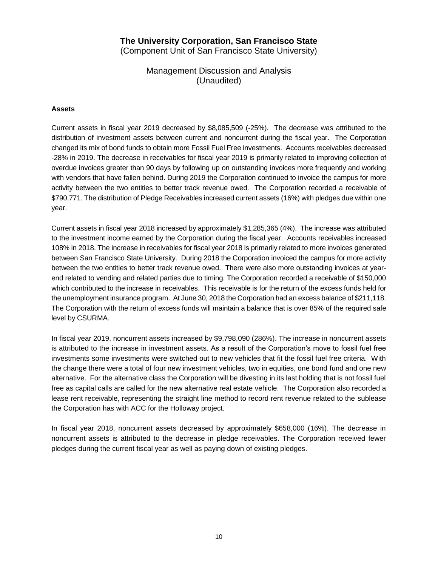Management Discussion and Analysis (Unaudited)

#### **Assets**

Current assets in fiscal year 2019 decreased by \$8,085,509 (-25%). The decrease was attributed to the distribution of investment assets between current and noncurrent during the fiscal year. The Corporation changed its mix of bond funds to obtain more Fossil Fuel Free investments. Accounts receivables decreased -28% in 2019. The decrease in receivables for fiscal year 2019 is primarily related to improving collection of overdue invoices greater than 90 days by following up on outstanding invoices more frequently and working with vendors that have fallen behind. During 2019 the Corporation continued to invoice the campus for more activity between the two entities to better track revenue owed. The Corporation recorded a receivable of \$790,771. The distribution of Pledge Receivables increased current assets (16%) with pledges due within one year.

Current assets in fiscal year 2018 increased by approximately \$1,285,365 (4%). The increase was attributed to the investment income earned by the Corporation during the fiscal year. Accounts receivables increased 108% in 2018. The increase in receivables for fiscal year 2018 is primarily related to more invoices generated between San Francisco State University. During 2018 the Corporation invoiced the campus for more activity between the two entities to better track revenue owed. There were also more outstanding invoices at yearend related to vending and related parties due to timing. The Corporation recorded a receivable of \$150,000 which contributed to the increase in receivables. This receivable is for the return of the excess funds held for the unemployment insurance program. At June 30, 2018 the Corporation had an excess balance of \$211,118. The Corporation with the return of excess funds will maintain a balance that is over 85% of the required safe level by CSURMA.

In fiscal year 2019, noncurrent assets increased by \$9,798,090 (286%). The increase in noncurrent assets is attributed to the increase in investment assets. As a result of the Corporation's move to fossil fuel free investments some investments were switched out to new vehicles that fit the fossil fuel free criteria. With the change there were a total of four new investment vehicles, two in equities, one bond fund and one new alternative. For the alternative class the Corporation will be divesting in its last holding that is not fossil fuel free as capital calls are called for the new alternative real estate vehicle. The Corporation also recorded a lease rent receivable, representing the straight line method to record rent revenue related to the sublease the Corporation has with ACC for the Holloway project.

In fiscal year 2018, noncurrent assets decreased by approximately \$658,000 (16%). The decrease in noncurrent assets is attributed to the decrease in pledge receivables. The Corporation received fewer pledges during the current fiscal year as well as paying down of existing pledges.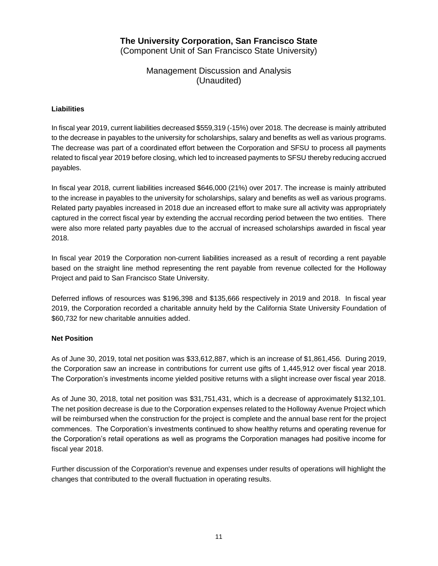Management Discussion and Analysis (Unaudited)

## **Liabilities**

In fiscal year 2019, current liabilities decreased \$559,319 (-15%) over 2018. The decrease is mainly attributed to the decrease in payables to the university for scholarships, salary and benefits as well as various programs. The decrease was part of a coordinated effort between the Corporation and SFSU to process all payments related to fiscal year 2019 before closing, which led to increased payments to SFSU thereby reducing accrued payables.

In fiscal year 2018, current liabilities increased \$646,000 (21%) over 2017. The increase is mainly attributed to the increase in payables to the university for scholarships, salary and benefits as well as various programs. Related party payables increased in 2018 due an increased effort to make sure all activity was appropriately captured in the correct fiscal year by extending the accrual recording period between the two entities. There were also more related party payables due to the accrual of increased scholarships awarded in fiscal year 2018.

In fiscal year 2019 the Corporation non-current liabilities increased as a result of recording a rent payable based on the straight line method representing the rent payable from revenue collected for the Holloway Project and paid to San Francisco State University.

Deferred inflows of resources was \$196,398 and \$135,666 respectively in 2019 and 2018. In fiscal year 2019, the Corporation recorded a charitable annuity held by the California State University Foundation of \$60,732 for new charitable annuities added.

## **Net Position**

As of June 30, 2019, total net position was \$33,612,887, which is an increase of \$1,861,456. During 2019, the Corporation saw an increase in contributions for current use gifts of 1,445,912 over fiscal year 2018. The Corporation's investments income yielded positive returns with a slight increase over fiscal year 2018.

As of June 30, 2018, total net position was \$31,751,431, which is a decrease of approximately \$132,101. The net position decrease is due to the Corporation expenses related to the Holloway Avenue Project which will be reimbursed when the construction for the project is complete and the annual base rent for the project commences. The Corporation's investments continued to show healthy returns and operating revenue for the Corporation's retail operations as well as programs the Corporation manages had positive income for fiscal year 2018.

Further discussion of the Corporation's revenue and expenses under results of operations will highlight the changes that contributed to the overall fluctuation in operating results.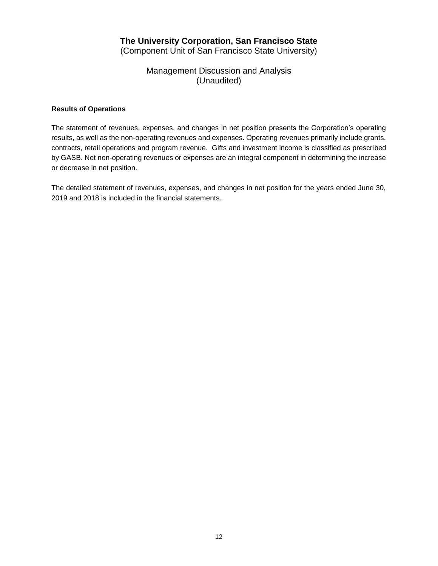Management Discussion and Analysis (Unaudited)

#### **Results of Operations**

The statement of revenues, expenses, and changes in net position presents the Corporation's operating results, as well as the non-operating revenues and expenses. Operating revenues primarily include grants, contracts, retail operations and program revenue. Gifts and investment income is classified as prescribed by GASB. Net non-operating revenues or expenses are an integral component in determining the increase or decrease in net position.

The detailed statement of revenues, expenses, and changes in net position for the years ended June 30, 2019 and 2018 is included in the financial statements.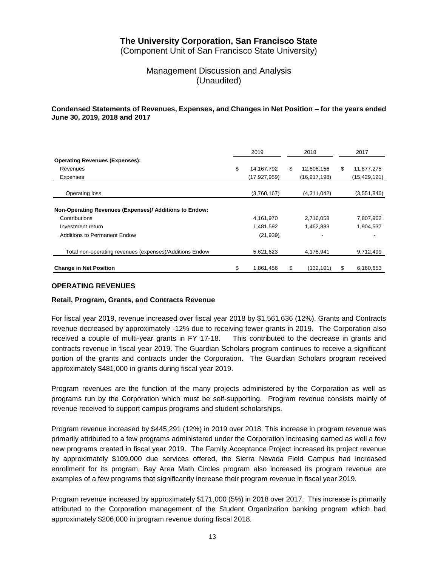(Component Unit of San Francisco State University)

## Management Discussion and Analysis (Unaudited)

#### **Condensed Statements of Revenues, Expenses, and Changes in Net Position – for the years ended June 30, 2019, 2018 and 2017**

|                                                         | 2019 |                | 2018                     |     | 2017           |
|---------------------------------------------------------|------|----------------|--------------------------|-----|----------------|
| <b>Operating Revenues (Expenses):</b>                   |      |                |                          |     |                |
| Revenues                                                | \$   | 14, 167, 792   | \$<br>12,606,156         | S   | 11,877,275     |
| <b>Expenses</b>                                         |      | (17, 927, 959) | (16, 917, 198)           |     | (15, 429, 121) |
|                                                         |      |                |                          |     |                |
| Operating loss                                          |      | (3,760,167)    | (4,311,042)              |     | (3,551,846)    |
|                                                         |      |                |                          |     |                |
| Non-Operating Revenues (Expenses)/ Additions to Endow:  |      |                |                          |     |                |
| Contributions                                           |      | 4,161,970      | 2,716,058                |     | 7,807,962      |
| Investment return                                       |      | 1,481,592      | 1,462,883                |     | 1,904,537      |
| Additions to Permanent Endow                            |      | (21, 939)      | $\overline{\phantom{a}}$ |     |                |
| Total non-operating revenues (expenses)/Additions Endow |      | 5,621,623      | 4,178,941                |     | 9,712,499      |
|                                                         |      |                |                          |     |                |
| <b>Change in Net Position</b>                           | \$   | 1,861,456      | \$<br>(132, 101)         | \$. | 6,160,653      |

#### **OPERATING REVENUES**

#### **Retail, Program, Grants, and Contracts Revenue**

For fiscal year 2019, revenue increased over fiscal year 2018 by \$1,561,636 (12%). Grants and Contracts revenue decreased by approximately -12% due to receiving fewer grants in 2019. The Corporation also received a couple of multi-year grants in FY 17-18. This contributed to the decrease in grants and contracts revenue in fiscal year 2019. The Guardian Scholars program continues to receive a significant portion of the grants and contracts under the Corporation. The Guardian Scholars program received approximately \$481,000 in grants during fiscal year 2019.

Program revenues are the function of the many projects administered by the Corporation as well as programs run by the Corporation which must be self-supporting. Program revenue consists mainly of revenue received to support campus programs and student scholarships.

Program revenue increased by \$445,291 (12%) in 2019 over 2018. This increase in program revenue was primarily attributed to a few programs administered under the Corporation increasing earned as well a few new programs created in fiscal year 2019. The Family Acceptance Project increased its project revenue by approximately \$109,000 due services offered, the Sierra Nevada Field Campus had increased enrollment for its program, Bay Area Math Circles program also increased its program revenue are examples of a few programs that significantly increase their program revenue in fiscal year 2019.

Program revenue increased by approximately \$171,000 (5%) in 2018 over 2017. This increase is primarily attributed to the Corporation management of the Student Organization banking program which had approximately \$206,000 in program revenue during fiscal 2018.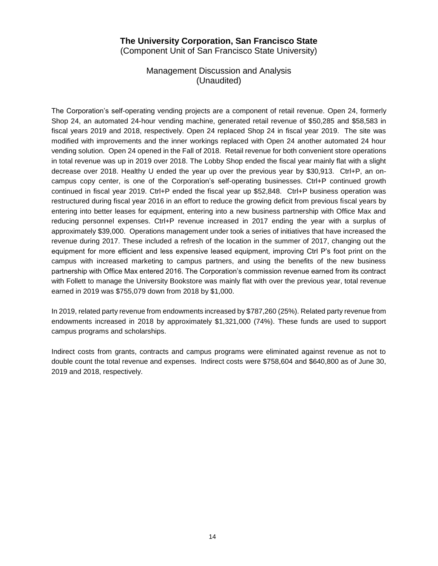Management Discussion and Analysis (Unaudited)

The Corporation's self-operating vending projects are a component of retail revenue. Open 24, formerly Shop 24, an automated 24-hour vending machine, generated retail revenue of \$50,285 and \$58,583 in fiscal years 2019 and 2018, respectively. Open 24 replaced Shop 24 in fiscal year 2019. The site was modified with improvements and the inner workings replaced with Open 24 another automated 24 hour vending solution. Open 24 opened in the Fall of 2018. Retail revenue for both convenient store operations in total revenue was up in 2019 over 2018. The Lobby Shop ended the fiscal year mainly flat with a slight decrease over 2018. Healthy U ended the year up over the previous year by \$30,913. Ctrl+P, an oncampus copy center, is one of the Corporation's self-operating businesses. Ctrl+P continued growth continued in fiscal year 2019. Ctrl+P ended the fiscal year up \$52,848. Ctrl+P business operation was restructured during fiscal year 2016 in an effort to reduce the growing deficit from previous fiscal years by entering into better leases for equipment, entering into a new business partnership with Office Max and reducing personnel expenses. Ctrl+P revenue increased in 2017 ending the year with a surplus of approximately \$39,000. Operations management under took a series of initiatives that have increased the revenue during 2017. These included a refresh of the location in the summer of 2017, changing out the equipment for more efficient and less expensive leased equipment, improving Ctrl P's foot print on the campus with increased marketing to campus partners, and using the benefits of the new business partnership with Office Max entered 2016. The Corporation's commission revenue earned from its contract with Follett to manage the University Bookstore was mainly flat with over the previous year, total revenue earned in 2019 was \$755,079 down from 2018 by \$1,000.

In 2019, related party revenue from endowments increased by \$787,260 (25%). Related party revenue from endowments increased in 2018 by approximately \$1,321,000 (74%). These funds are used to support campus programs and scholarships.

Indirect costs from grants, contracts and campus programs were eliminated against revenue as not to double count the total revenue and expenses. Indirect costs were \$758,604 and \$640,800 as of June 30, 2019 and 2018, respectively.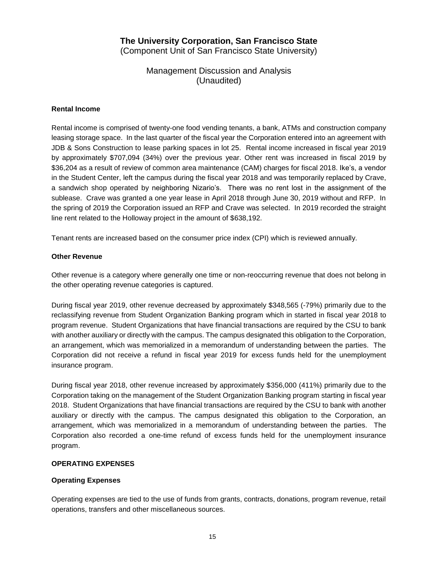Management Discussion and Analysis (Unaudited)

#### **Rental Income**

Rental income is comprised of twenty-one food vending tenants, a bank, ATMs and construction company leasing storage space. In the last quarter of the fiscal year the Corporation entered into an agreement with JDB & Sons Construction to lease parking spaces in lot 25. Rental income increased in fiscal year 2019 by approximately \$707,094 (34%) over the previous year. Other rent was increased in fiscal 2019 by \$36,204 as a result of review of common area maintenance (CAM) charges for fiscal 2018. Ike's, a vendor in the Student Center, left the campus during the fiscal year 2018 and was temporarily replaced by Crave, a sandwich shop operated by neighboring Nizario's. There was no rent lost in the assignment of the sublease. Crave was granted a one year lease in April 2018 through June 30, 2019 without and RFP. In the spring of 2019 the Corporation issued an RFP and Crave was selected. In 2019 recorded the straight line rent related to the Holloway project in the amount of \$638,192.

Tenant rents are increased based on the consumer price index (CPI) which is reviewed annually.

#### **Other Revenue**

Other revenue is a category where generally one time or non-reoccurring revenue that does not belong in the other operating revenue categories is captured.

During fiscal year 2019, other revenue decreased by approximately \$348,565 (-79%) primarily due to the reclassifying revenue from Student Organization Banking program which in started in fiscal year 2018 to program revenue. Student Organizations that have financial transactions are required by the CSU to bank with another auxiliary or directly with the campus. The campus designated this obligation to the Corporation, an arrangement, which was memorialized in a memorandum of understanding between the parties. The Corporation did not receive a refund in fiscal year 2019 for excess funds held for the unemployment insurance program.

During fiscal year 2018, other revenue increased by approximately \$356,000 (411%) primarily due to the Corporation taking on the management of the Student Organization Banking program starting in fiscal year 2018. Student Organizations that have financial transactions are required by the CSU to bank with another auxiliary or directly with the campus. The campus designated this obligation to the Corporation, an arrangement, which was memorialized in a memorandum of understanding between the parties. The Corporation also recorded a one-time refund of excess funds held for the unemployment insurance program.

## **OPERATING EXPENSES**

## **Operating Expenses**

Operating expenses are tied to the use of funds from grants, contracts, donations, program revenue, retail operations, transfers and other miscellaneous sources.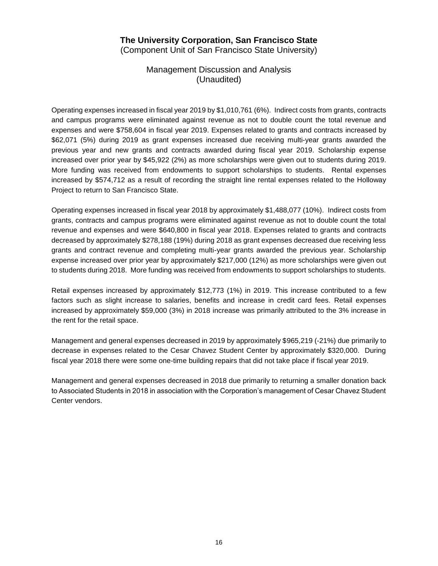(Component Unit of San Francisco State University)

Management Discussion and Analysis (Unaudited)

Operating expenses increased in fiscal year 2019 by \$1,010,761 (6%). Indirect costs from grants, contracts and campus programs were eliminated against revenue as not to double count the total revenue and expenses and were \$758,604 in fiscal year 2019. Expenses related to grants and contracts increased by \$62,071 (5%) during 2019 as grant expenses increased due receiving multi-year grants awarded the previous year and new grants and contracts awarded during fiscal year 2019. Scholarship expense increased over prior year by \$45,922 (2%) as more scholarships were given out to students during 2019. More funding was received from endowments to support scholarships to students. Rental expenses increased by \$574,712 as a result of recording the straight line rental expenses related to the Holloway Project to return to San Francisco State.

Operating expenses increased in fiscal year 2018 by approximately \$1,488,077 (10%). Indirect costs from grants, contracts and campus programs were eliminated against revenue as not to double count the total revenue and expenses and were \$640,800 in fiscal year 2018. Expenses related to grants and contracts decreased by approximately \$278,188 (19%) during 2018 as grant expenses decreased due receiving less grants and contract revenue and completing multi-year grants awarded the previous year. Scholarship expense increased over prior year by approximately \$217,000 (12%) as more scholarships were given out to students during 2018. More funding was received from endowments to support scholarships to students.

Retail expenses increased by approximately \$12,773 (1%) in 2019. This increase contributed to a few factors such as slight increase to salaries, benefits and increase in credit card fees. Retail expenses increased by approximately \$59,000 (3%) in 2018 increase was primarily attributed to the 3% increase in the rent for the retail space.

Management and general expenses decreased in 2019 by approximately \$965,219 (-21%) due primarily to decrease in expenses related to the Cesar Chavez Student Center by approximately \$320,000. During fiscal year 2018 there were some one-time building repairs that did not take place if fiscal year 2019.

Management and general expenses decreased in 2018 due primarily to returning a smaller donation back to Associated Students in 2018 in association with the Corporation's management of Cesar Chavez Student Center vendors.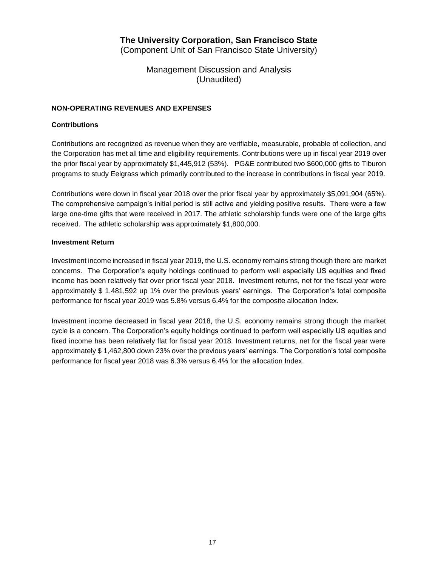(Component Unit of San Francisco State University)

Management Discussion and Analysis (Unaudited)

## **NON-OPERATING REVENUES AND EXPENSES**

#### **Contributions**

Contributions are recognized as revenue when they are verifiable, measurable, probable of collection, and the Corporation has met all time and eligibility requirements. Contributions were up in fiscal year 2019 over the prior fiscal year by approximately \$1,445,912 (53%). PG&E contributed two \$600,000 gifts to Tiburon programs to study Eelgrass which primarily contributed to the increase in contributions in fiscal year 2019.

Contributions were down in fiscal year 2018 over the prior fiscal year by approximately \$5,091,904 (65%). The comprehensive campaign's initial period is still active and yielding positive results. There were a few large one-time gifts that were received in 2017. The athletic scholarship funds were one of the large gifts received. The athletic scholarship was approximately \$1,800,000.

#### **Investment Return**

Investment income increased in fiscal year 2019, the U.S. economy remains strong though there are market concerns. The Corporation's equity holdings continued to perform well especially US equities and fixed income has been relatively flat over prior fiscal year 2018. Investment returns, net for the fiscal year were approximately \$ 1,481,592 up 1% over the previous years' earnings. The Corporation's total composite performance for fiscal year 2019 was 5.8% versus 6.4% for the composite allocation Index.

Investment income decreased in fiscal year 2018, the U.S. economy remains strong though the market cycle is a concern. The Corporation's equity holdings continued to perform well especially US equities and fixed income has been relatively flat for fiscal year 2018. Investment returns, net for the fiscal year were approximately \$ 1,462,800 down 23% over the previous years' earnings. The Corporation's total composite performance for fiscal year 2018 was 6.3% versus 6.4% for the allocation Index.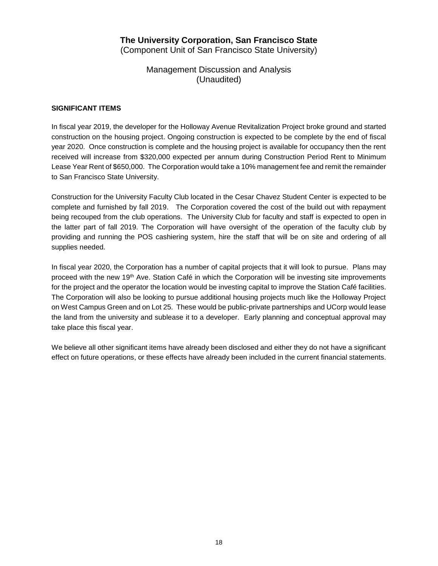(Component Unit of San Francisco State University)

Management Discussion and Analysis (Unaudited)

## **SIGNIFICANT ITEMS**

In fiscal year 2019, the developer for the Holloway Avenue Revitalization Project broke ground and started construction on the housing project. Ongoing construction is expected to be complete by the end of fiscal year 2020. Once construction is complete and the housing project is available for occupancy then the rent received will increase from \$320,000 expected per annum during Construction Period Rent to Minimum Lease Year Rent of \$650,000. The Corporation would take a 10% management fee and remit the remainder to San Francisco State University.

Construction for the University Faculty Club located in the Cesar Chavez Student Center is expected to be complete and furnished by fall 2019. The Corporation covered the cost of the build out with repayment being recouped from the club operations. The University Club for faculty and staff is expected to open in the latter part of fall 2019. The Corporation will have oversight of the operation of the faculty club by providing and running the POS cashiering system, hire the staff that will be on site and ordering of all supplies needed.

In fiscal year 2020, the Corporation has a number of capital projects that it will look to pursue. Plans may proceed with the new 19<sup>th</sup> Ave. Station Café in which the Corporation will be investing site improvements for the project and the operator the location would be investing capital to improve the Station Café facilities. The Corporation will also be looking to pursue additional housing projects much like the Holloway Project on West Campus Green and on Lot 25. These would be public-private partnerships and UCorp would lease the land from the university and sublease it to a developer. Early planning and conceptual approval may take place this fiscal year.

We believe all other significant items have already been disclosed and either they do not have a significant effect on future operations, or these effects have already been included in the current financial statements.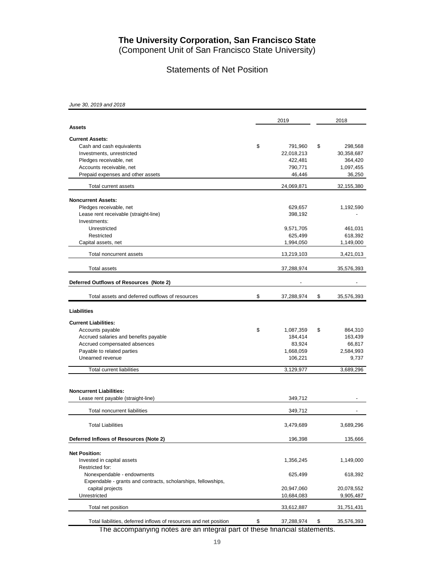(Component Unit of San Francisco State University)

# Statements of Net Position

*June 30, 2019 and 2018*

|                                                                   | 2019 | 2018       |    |            |
|-------------------------------------------------------------------|------|------------|----|------------|
| <b>Assets</b>                                                     |      |            |    |            |
| <b>Current Assets:</b>                                            |      |            |    |            |
| Cash and cash equivalents                                         | \$   | 791,960    | \$ | 298,568    |
| Investments, unrestricted                                         |      | 22,018,213 |    | 30,358,687 |
| Pledges receivable, net                                           |      | 422,481    |    | 364,420    |
| Accounts receivable, net                                          |      | 790,771    |    | 1,097,455  |
| Prepaid expenses and other assets                                 |      | 46,446     |    | 36,250     |
| Total current assets                                              |      | 24,069,871 |    | 32,155,380 |
| <b>Noncurrent Assets:</b>                                         |      |            |    |            |
| Pledges receivable, net                                           |      | 629,657    |    | 1,192,590  |
| Lease rent receivable (straight-line)                             |      | 398,192    |    |            |
| Investments:                                                      |      |            |    |            |
| Unrestricted                                                      |      | 9,571,705  |    | 461,031    |
| Restricted                                                        |      | 625,499    |    | 618,392    |
| Capital assets, net                                               |      | 1,994,050  |    | 1,149,000  |
| Total noncurrent assets                                           |      | 13,219,103 |    | 3,421,013  |
| <b>Total assets</b>                                               |      | 37,288,974 |    | 35,576,393 |
| Deferred Outflows of Resources (Note 2)                           |      |            |    |            |
| Total assets and deferred outflows of resources                   | \$   | 37,288,974 | \$ | 35,576,393 |
|                                                                   |      |            |    |            |
| <b>Liabilities</b>                                                |      |            |    |            |
| <b>Current Liabilities:</b>                                       |      |            |    |            |
| Accounts payable                                                  | \$   | 1,087,359  | \$ | 864,310    |
| Accrued salaries and benefits payable                             |      | 184,414    |    | 163,439    |
| Accrued compensated absences                                      |      | 83,924     |    | 66,817     |
| Payable to related parties                                        |      | 1,668,059  |    | 2,584,993  |
| Unearned revenue                                                  |      | 106,221    |    | 9,737      |
| Total current liabilities                                         |      | 3,129,977  |    | 3,689,296  |
|                                                                   |      |            |    |            |
| <b>Noncurrent Liabilities:</b>                                    |      |            |    |            |
| Lease rent payable (straight-line)                                |      | 349,712    |    |            |
| <b>Total noncurrent liabilities</b>                               |      | 349,712    |    |            |
| <b>Total Liabilities</b>                                          |      | 3,479,689  |    | 3,689,296  |
| Deferred Inflows of Resources (Note 2)                            |      | 196,398    |    | 135,666    |
|                                                                   |      |            |    |            |
| <b>Net Position:</b>                                              |      |            |    |            |
| Invested in capital assets                                        |      | 1,356,245  |    | 1,149,000  |
| Restricted for:                                                   |      |            |    |            |
| Nonexpendable - endowments                                        |      | 625,499    |    | 618,392    |
| Expendable - grants and contracts, scholarships, fellowships,     |      |            |    |            |
| capital projects                                                  |      | 20,947,060 |    | 20,078,552 |
| Unrestricted                                                      |      | 10,684,083 |    | 9,905,487  |
| Total net position                                                |      | 33,612,887 |    | 31,751,431 |
| Total liabilities, deferred inflows of resources and net position | \$   | 37,288,974 | \$ | 35,576,393 |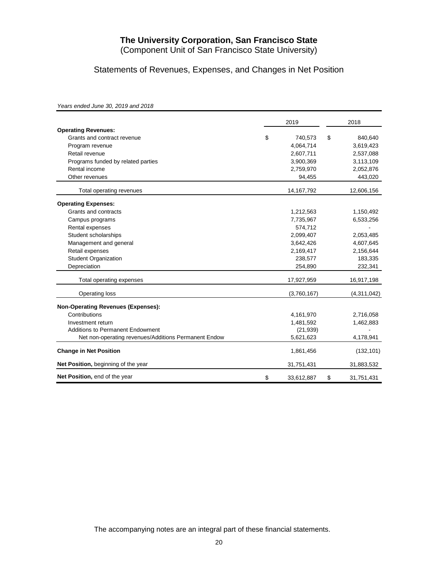(Component Unit of San Francisco State University)

# Statements of Revenues, Expenses, and Changes in Net Position

*Years ended June 30, 2019 and 2018*

|                                                      | 2019             | 2018             |
|------------------------------------------------------|------------------|------------------|
| <b>Operating Revenues:</b>                           |                  |                  |
| Grants and contract revenue                          | \$<br>740,573    | \$<br>840,640    |
| Program revenue                                      | 4,064,714        | 3,619,423        |
| Retail revenue                                       | 2,607,711        | 2,537,088        |
| Programs funded by related parties                   | 3,900,369        | 3,113,109        |
| Rental income                                        | 2,759,970        | 2,052,876        |
| Other revenues                                       | 94,455           | 443,020          |
| Total operating revenues                             | 14, 167, 792     | 12,606,156       |
| <b>Operating Expenses:</b>                           |                  |                  |
| Grants and contracts                                 | 1,212,563        | 1,150,492        |
| Campus programs                                      | 7,735,967        | 6,533,256        |
| Rental expenses                                      | 574,712          |                  |
| Student scholarships                                 | 2,099,407        | 2,053,485        |
| Management and general                               | 3,642,426        | 4,607,645        |
| Retail expenses                                      | 2,169,417        | 2,156,644        |
| <b>Student Organization</b>                          | 238,577          | 183,335          |
| Depreciation                                         | 254,890          | 232,341          |
| Total operating expenses                             | 17,927,959       | 16,917,198       |
| Operating loss                                       | (3,760,167)      | (4,311,042)      |
| <b>Non-Operating Revenues (Expenses):</b>            |                  |                  |
| Contributions                                        | 4,161,970        | 2,716,058        |
| Investment return                                    | 1,481,592        | 1,462,883        |
| <b>Additions to Permanent Endowment</b>              | (21, 939)        |                  |
| Net non-operating revenues/Additions Permanent Endow | 5,621,623        | 4,178,941        |
| <b>Change in Net Position</b>                        | 1,861,456        | (132, 101)       |
| Net Position, beginning of the year                  | 31,751,431       | 31,883,532       |
| Net Position, end of the year                        | \$<br>33,612,887 | \$<br>31,751,431 |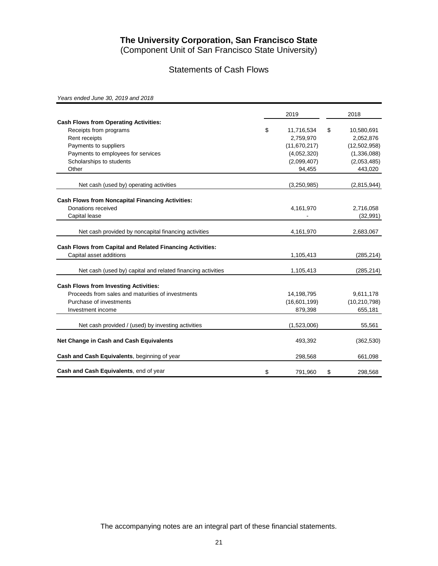(Component Unit of San Francisco State University)

# Statements of Cash Flows

*Years ended June 30, 2019 and 2018*

|                                                                  | 2019             | 2018             |
|------------------------------------------------------------------|------------------|------------------|
| <b>Cash Flows from Operating Activities:</b>                     |                  |                  |
| Receipts from programs                                           | \$<br>11,716,534 | \$<br>10,580,691 |
| Rent receipts                                                    | 2,759,970        | 2,052,876        |
| Payments to suppliers                                            | (11,670,217)     | (12,502,958)     |
| Payments to employees for services                               | (4,052,320)      | (1,336,088)      |
| Scholarships to students                                         | (2,099,407)      | (2,053,485)      |
| Other                                                            | 94,455           | 443,020          |
| Net cash (used by) operating activities                          | (3,250,985)      | (2,815,944)      |
| <b>Cash Flows from Noncapital Financing Activities:</b>          |                  |                  |
| Donations received                                               | 4,161,970        | 2,716,058        |
| Capital lease                                                    |                  | (32, 991)        |
| Net cash provided by noncapital financing activities             | 4,161,970        | 2,683,067        |
| <b>Cash Flows from Capital and Related Financing Activities:</b> |                  |                  |
| Capital asset additions                                          | 1,105,413        | (285, 214)       |
| Net cash (used by) capital and related financing activities      | 1,105,413        | (285, 214)       |
| <b>Cash Flows from Investing Activities:</b>                     |                  |                  |
| Proceeds from sales and maturities of investments                | 14,198,795       | 9,611,178        |
| Purchase of investments                                          | (16,601,199)     | (10, 210, 798)   |
| Investment income                                                | 879,398          | 655,181          |
| Net cash provided / (used) by investing activities               | (1,523,006)      | 55,561           |
| Net Change in Cash and Cash Equivalents                          | 493,392          | (362, 530)       |
| Cash and Cash Equivalents, beginning of year                     | 298,568          | 661,098          |
| Cash and Cash Equivalents, end of year                           | \$<br>791,960    | \$<br>298.568    |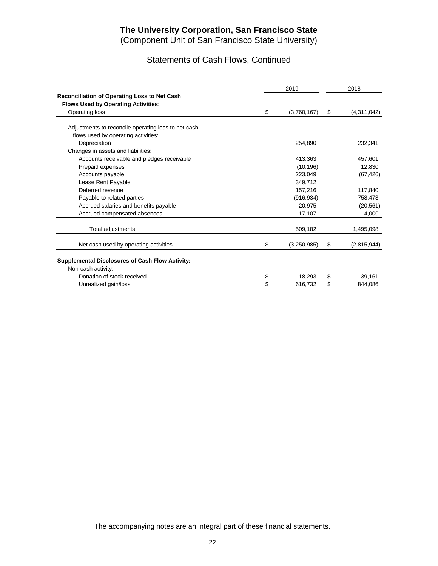(Component Unit of San Francisco State University)

# Statements of Cash Flows, Continued

|                                                                                                            | 2019              | 2018 |             |  |  |
|------------------------------------------------------------------------------------------------------------|-------------------|------|-------------|--|--|
| <b>Reconciliation of Operating Loss to Net Cash</b>                                                        |                   |      |             |  |  |
| <b>Flows Used by Operating Activities:</b>                                                                 |                   |      |             |  |  |
| Operating loss                                                                                             | \$<br>(3,760,167) | \$   | (4,311,042) |  |  |
| Adjustments to reconcile operating loss to net cash                                                        |                   |      |             |  |  |
| flows used by operating activities:                                                                        |                   |      |             |  |  |
| Depreciation                                                                                               | 254.890           |      | 232,341     |  |  |
| Changes in assets and liabilities:                                                                         |                   |      |             |  |  |
| Accounts receivable and pledges receivable                                                                 | 413,363           |      | 457,601     |  |  |
| Prepaid expenses                                                                                           | (10, 196)         |      | 12,830      |  |  |
| Accounts payable                                                                                           | 223.049           |      | (67, 426)   |  |  |
| Lease Rent Payable                                                                                         | 349,712           |      |             |  |  |
| Deferred revenue                                                                                           | 157,216           |      | 117,840     |  |  |
| Payable to related parties                                                                                 | (916, 934)        |      | 758,473     |  |  |
| Accrued salaries and benefits payable                                                                      | 20.975            |      | (20, 561)   |  |  |
| Accrued compensated absences                                                                               | 17,107            |      | 4,000       |  |  |
| Total adjustments                                                                                          | 509,182           |      | 1,495,098   |  |  |
| Net cash used by operating activities                                                                      | \$<br>(3,250,985) | \$   | (2,815,944) |  |  |
| <b>Supplemental Disclosures of Cash Flow Activity:</b><br>Non-cash activity:<br>Donation of stock received | \$<br>18.293      | \$   | 39,161      |  |  |
| Unrealized gain/loss                                                                                       | \$<br>616,732     | \$   | 844,086     |  |  |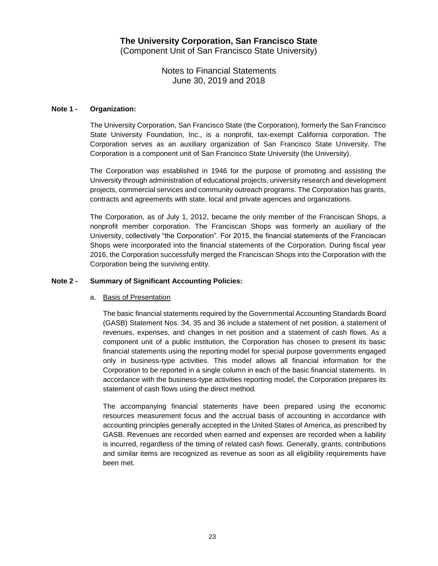Notes to Financial Statements June 30, 2019 and 2018

#### **Note 1 - Organization:**

The University Corporation, San Francisco State (the Corporation), formerly the San Francisco State University Foundation, Inc., is a nonprofit, tax-exempt California corporation. The Corporation serves as an auxiliary organization of San Francisco State University. The Corporation is a component unit of San Francisco State University (the University).

The Corporation was established in 1946 for the purpose of promoting and assisting the University through administration of educational projects, university research and development projects, commercial services and community outreach programs. The Corporation has grants, contracts and agreements with state, local and private agencies and organizations.

The Corporation, as of July 1, 2012, became the only member of the Franciscan Shops, a nonprofit member corporation. The Franciscan Shops was formerly an auxiliary of the University, collectively "the Corporation". For 2015, the financial statements of the Franciscan Shops were incorporated into the financial statements of the Corporation. During fiscal year 2016, the Corporation successfully merged the Franciscan Shops into the Corporation with the Corporation being the surviving entity.

## **Note 2 - Summary of Significant Accounting Policies:**

#### a. Basis of Presentation

The basic financial statements required by the Governmental Accounting Standards Board (GASB) Statement Nos. 34, 35 and 36 include a statement of net position, a statement of revenues, expenses, and changes in net position and a statement of cash flows. As a component unit of a public institution, the Corporation has chosen to present its basic financial statements using the reporting model for special purpose governments engaged only in business-type activities. This model allows all financial information for the Corporation to be reported in a single column in each of the basic financial statements. In accordance with the business-type activities reporting model, the Corporation prepares its statement of cash flows using the direct method.

The accompanying financial statements have been prepared using the economic resources measurement focus and the accrual basis of accounting in accordance with accounting principles generally accepted in the United States of America, as prescribed by GASB. Revenues are recorded when earned and expenses are recorded when a liability is incurred, regardless of the timing of related cash flows. Generally, grants, contributions and similar items are recognized as revenue as soon as all eligibility requirements have been met.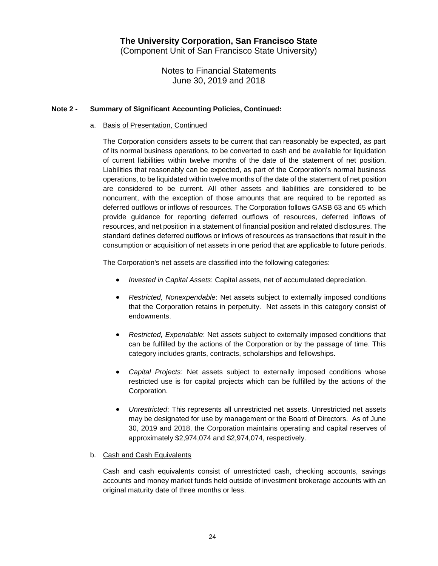Notes to Financial Statements June 30, 2019 and 2018

#### **Note 2 - Summary of Significant Accounting Policies, Continued:**

#### a. Basis of Presentation, Continued

The Corporation considers assets to be current that can reasonably be expected, as part of its normal business operations, to be converted to cash and be available for liquidation of current liabilities within twelve months of the date of the statement of net position. Liabilities that reasonably can be expected, as part of the Corporation's normal business operations, to be liquidated within twelve months of the date of the statement of net position are considered to be current. All other assets and liabilities are considered to be noncurrent, with the exception of those amounts that are required to be reported as deferred outflows or inflows of resources. The Corporation follows GASB 63 and 65 which provide guidance for reporting deferred outflows of resources, deferred inflows of resources, and net position in a statement of financial position and related disclosures. The standard defines deferred outflows or inflows of resources as transactions that result in the consumption or acquisition of net assets in one period that are applicable to future periods.

The Corporation's net assets are classified into the following categories:

- *Invested in Capital Assets*: Capital assets, net of accumulated depreciation.
- *Restricted, Nonexpendable*: Net assets subject to externally imposed conditions that the Corporation retains in perpetuity. Net assets in this category consist of endowments.
- *Restricted, Expendable*: Net assets subject to externally imposed conditions that can be fulfilled by the actions of the Corporation or by the passage of time. This category includes grants, contracts, scholarships and fellowships.
- *Capital Projects*: Net assets subject to externally imposed conditions whose restricted use is for capital projects which can be fulfilled by the actions of the Corporation.
- *Unrestricted*: This represents all unrestricted net assets. Unrestricted net assets may be designated for use by management or the Board of Directors. As of June 30, 2019 and 2018, the Corporation maintains operating and capital reserves of approximately \$2,974,074 and \$2,974,074, respectively.

#### b. Cash and Cash Equivalents

Cash and cash equivalents consist of unrestricted cash, checking accounts, savings accounts and money market funds held outside of investment brokerage accounts with an original maturity date of three months or less.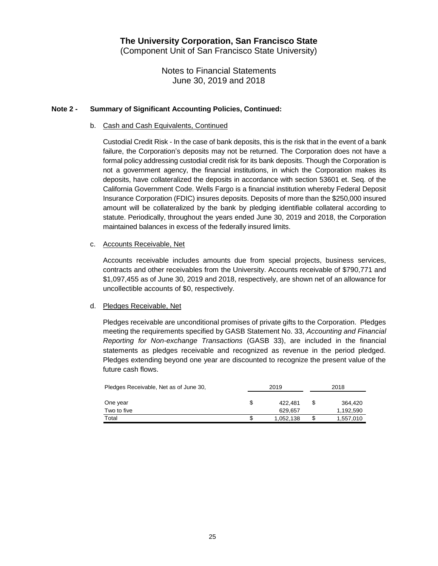Notes to Financial Statements June 30, 2019 and 2018

#### **Note 2 - Summary of Significant Accounting Policies, Continued:**

#### b. Cash and Cash Equivalents, Continued

Custodial Credit Risk - In the case of bank deposits, this is the risk that in the event of a bank failure, the Corporation's deposits may not be returned. The Corporation does not have a formal policy addressing custodial credit risk for its bank deposits. Though the Corporation is not a government agency, the financial institutions, in which the Corporation makes its deposits, have collateralized the deposits in accordance with section 53601 et. Seq. of the California Government Code. Wells Fargo is a financial institution whereby Federal Deposit Insurance Corporation (FDIC) insures deposits. Deposits of more than the \$250,000 insured amount will be collateralized by the bank by pledging identifiable collateral according to statute. Periodically, throughout the years ended June 30, 2019 and 2018, the Corporation maintained balances in excess of the federally insured limits.

c. Accounts Receivable, Net

Accounts receivable includes amounts due from special projects, business services, contracts and other receivables from the University. Accounts receivable of \$790,771 and \$1,097,455 as of June 30, 2019 and 2018, respectively, are shown net of an allowance for uncollectible accounts of \$0, respectively.

#### d. Pledges Receivable, Net

Pledges receivable are unconditional promises of private gifts to the Corporation. Pledges meeting the requirements specified by GASB Statement No. 33, *Accounting and Financial Reporting for Non-exchange Transactions* (GASB 33), are included in the financial statements as pledges receivable and recognized as revenue in the period pledged. Pledges extending beyond one year are discounted to recognize the present value of the future cash flows.

| Pledges Receivable, Net as of June 30, | 2019 |           |    | 2018      |
|----------------------------------------|------|-----------|----|-----------|
| One year                               | S    | 422.481   | S  | 364.420   |
| Two to five                            |      | 629.657   |    | 1,192,590 |
| Total                                  | S    | 1,052,138 | \$ | 1,557,010 |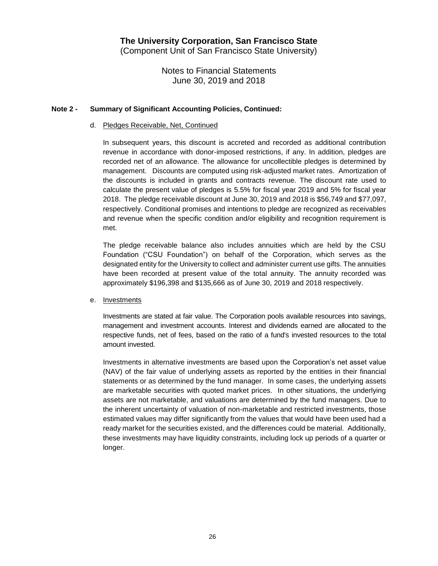Notes to Financial Statements June 30, 2019 and 2018

#### **Note 2 - Summary of Significant Accounting Policies, Continued:**

#### d. Pledges Receivable, Net, Continued

In subsequent years, this discount is accreted and recorded as additional contribution revenue in accordance with donor-imposed restrictions, if any. In addition, pledges are recorded net of an allowance. The allowance for uncollectible pledges is determined by management. Discounts are computed using risk-adjusted market rates. Amortization of the discounts is included in grants and contracts revenue. The discount rate used to calculate the present value of pledges is 5.5% for fiscal year 2019 and 5% for fiscal year 2018. The pledge receivable discount at June 30, 2019 and 2018 is \$56,749 and \$77,097, respectively. Conditional promises and intentions to pledge are recognized as receivables and revenue when the specific condition and/or eligibility and recognition requirement is met.

The pledge receivable balance also includes annuities which are held by the CSU Foundation ("CSU Foundation") on behalf of the Corporation, which serves as the designated entity for the University to collect and administer current use gifts. The annuities have been recorded at present value of the total annuity. The annuity recorded was approximately \$196,398 and \$135,666 as of June 30, 2019 and 2018 respectively.

#### e. Investments

Investments are stated at fair value. The Corporation pools available resources into savings, management and investment accounts. Interest and dividends earned are allocated to the respective funds, net of fees, based on the ratio of a fund's invested resources to the total amount invested.

Investments in alternative investments are based upon the Corporation's net asset value (NAV) of the fair value of underlying assets as reported by the entities in their financial statements or as determined by the fund manager. In some cases, the underlying assets are marketable securities with quoted market prices. In other situations, the underlying assets are not marketable, and valuations are determined by the fund managers. Due to the inherent uncertainty of valuation of non-marketable and restricted investments, those estimated values may differ significantly from the values that would have been used had a ready market for the securities existed, and the differences could be material. Additionally, these investments may have liquidity constraints, including lock up periods of a quarter or longer.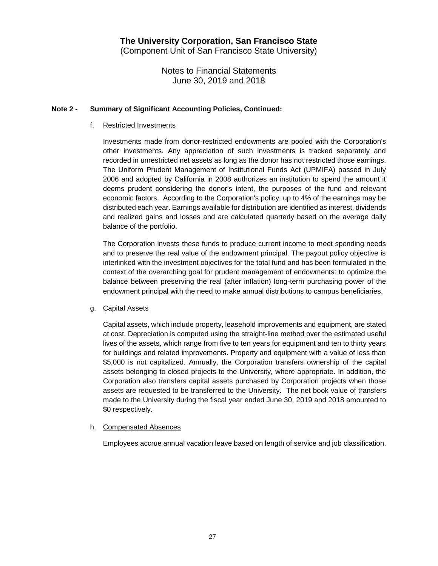Notes to Financial Statements June 30, 2019 and 2018

## **Note 2 - Summary of Significant Accounting Policies, Continued:**

#### f. Restricted Investments

Investments made from donor-restricted endowments are pooled with the Corporation's other investments. Any appreciation of such investments is tracked separately and recorded in unrestricted net assets as long as the donor has not restricted those earnings. The Uniform Prudent Management of Institutional Funds Act (UPMIFA) passed in July 2006 and adopted by California in 2008 authorizes an institution to spend the amount it deems prudent considering the donor's intent, the purposes of the fund and relevant economic factors. According to the Corporation's policy, up to 4% of the earnings may be distributed each year. Earnings available for distribution are identified as interest, dividends and realized gains and losses and are calculated quarterly based on the average daily balance of the portfolio.

The Corporation invests these funds to produce current income to meet spending needs and to preserve the real value of the endowment principal. The payout policy objective is interlinked with the investment objectives for the total fund and has been formulated in the context of the overarching goal for prudent management of endowments: to optimize the balance between preserving the real (after inflation) long-term purchasing power of the endowment principal with the need to make annual distributions to campus beneficiaries.

## g. Capital Assets

Capital assets, which include property, leasehold improvements and equipment, are stated at cost. Depreciation is computed using the straight-line method over the estimated useful lives of the assets, which range from five to ten years for equipment and ten to thirty years for buildings and related improvements. Property and equipment with a value of less than \$5,000 is not capitalized. Annually, the Corporation transfers ownership of the capital assets belonging to closed projects to the University, where appropriate. In addition, the Corporation also transfers capital assets purchased by Corporation projects when those assets are requested to be transferred to the University. The net book value of transfers made to the University during the fiscal year ended June 30, 2019 and 2018 amounted to \$0 respectively.

#### h. Compensated Absences

Employees accrue annual vacation leave based on length of service and job classification.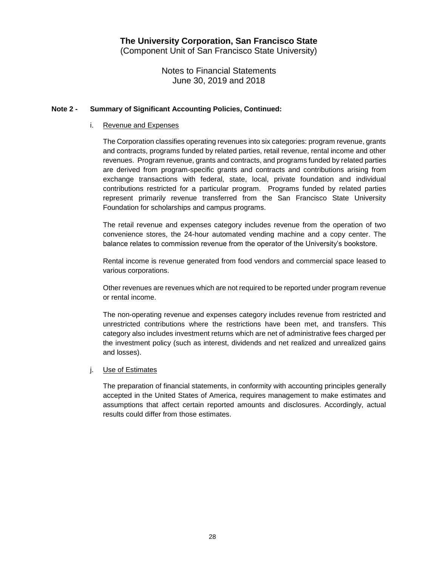Notes to Financial Statements June 30, 2019 and 2018

#### **Note 2 - Summary of Significant Accounting Policies, Continued:**

#### i. Revenue and Expenses

The Corporation classifies operating revenues into six categories: program revenue, grants and contracts, programs funded by related parties, retail revenue, rental income and other revenues. Program revenue, grants and contracts, and programs funded by related parties are derived from program-specific grants and contracts and contributions arising from exchange transactions with federal, state, local, private foundation and individual contributions restricted for a particular program. Programs funded by related parties represent primarily revenue transferred from the San Francisco State University Foundation for scholarships and campus programs.

The retail revenue and expenses category includes revenue from the operation of two convenience stores, the 24-hour automated vending machine and a copy center. The balance relates to commission revenue from the operator of the University's bookstore.

Rental income is revenue generated from food vendors and commercial space leased to various corporations.

Other revenues are revenues which are not required to be reported under program revenue or rental income.

The non-operating revenue and expenses category includes revenue from restricted and unrestricted contributions where the restrictions have been met, and transfers. This category also includes investment returns which are net of administrative fees charged per the investment policy (such as interest, dividends and net realized and unrealized gains and losses).

#### j. Use of Estimates

The preparation of financial statements, in conformity with accounting principles generally accepted in the United States of America, requires management to make estimates and assumptions that affect certain reported amounts and disclosures. Accordingly, actual results could differ from those estimates.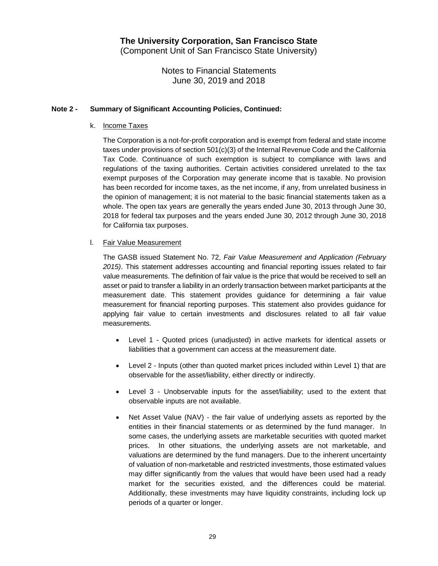Notes to Financial Statements June 30, 2019 and 2018

## **Note 2 - Summary of Significant Accounting Policies, Continued:**

k. Income Taxes

The Corporation is a not-for-profit corporation and is exempt from federal and state income taxes under provisions of section 501(c)(3) of the Internal Revenue Code and the California Tax Code. Continuance of such exemption is subject to compliance with laws and regulations of the taxing authorities. Certain activities considered unrelated to the tax exempt purposes of the Corporation may generate income that is taxable. No provision has been recorded for income taxes, as the net income, if any, from unrelated business in the opinion of management; it is not material to the basic financial statements taken as a whole. The open tax years are generally the years ended June 30, 2013 through June 30, 2018 for federal tax purposes and the years ended June 30, 2012 through June 30, 2018 for California tax purposes.

## l. Fair Value Measurement

The GASB issued Statement No. 72, *Fair Value Measurement and Application (February 2015)*. This statement addresses accounting and financial reporting issues related to fair value measurements. The definition of fair value is the price that would be received to sell an asset or paid to transfer a liability in an orderly transaction between market participants at the measurement date. This statement provides guidance for determining a fair value measurement for financial reporting purposes. This statement also provides guidance for applying fair value to certain investments and disclosures related to all fair value measurements.

- Level 1 Quoted prices (unadjusted) in active markets for identical assets or liabilities that a government can access at the measurement date.
- Level 2 Inputs (other than quoted market prices included within Level 1) that are observable for the asset/liability, either directly or indirectly.
- Level 3 Unobservable inputs for the asset/liability; used to the extent that observable inputs are not available.
- Net Asset Value (NAV) the fair value of underlying assets as reported by the entities in their financial statements or as determined by the fund manager. In some cases, the underlying assets are marketable securities with quoted market prices. In other situations, the underlying assets are not marketable, and valuations are determined by the fund managers. Due to the inherent uncertainty of valuation of non-marketable and restricted investments, those estimated values may differ significantly from the values that would have been used had a ready market for the securities existed, and the differences could be material. Additionally, these investments may have liquidity constraints, including lock up periods of a quarter or longer.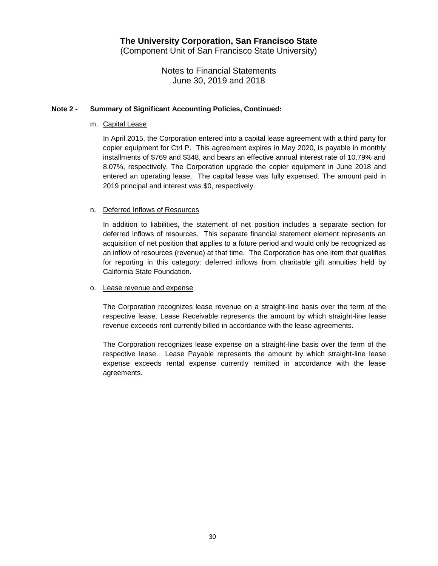Notes to Financial Statements June 30, 2019 and 2018

#### **Note 2 - Summary of Significant Accounting Policies, Continued:**

m. Capital Lease

In April 2015, the Corporation entered into a capital lease agreement with a third party for copier equipment for Ctrl P. This agreement expires in May 2020, is payable in monthly installments of \$769 and \$348, and bears an effective annual interest rate of 10.79% and 8.07%, respectively. The Corporation upgrade the copier equipment in June 2018 and entered an operating lease. The capital lease was fully expensed. The amount paid in 2019 principal and interest was \$0, respectively.

#### n. Deferred Inflows of Resources

In addition to liabilities, the statement of net position includes a separate section for deferred inflows of resources. This separate financial statement element represents an acquisition of net position that applies to a future period and would only be recognized as an inflow of resources (revenue) at that time. The Corporation has one item that qualifies for reporting in this category: deferred inflows from charitable gift annuities held by California State Foundation.

#### o. Lease revenue and expense

The Corporation recognizes lease revenue on a straight-line basis over the term of the respective lease. Lease Receivable represents the amount by which straight-line lease revenue exceeds rent currently billed in accordance with the lease agreements.

The Corporation recognizes lease expense on a straight-line basis over the term of the respective lease. Lease Payable represents the amount by which straight-line lease expense exceeds rental expense currently remitted in accordance with the lease agreements.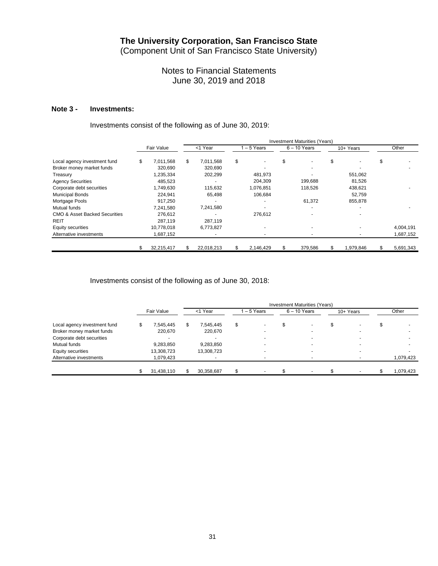(Component Unit of San Francisco State University)

## Notes to Financial Statements June 30, 2019 and 2018

#### **Note 3 - Investments:**

Investments consist of the following as of June 30, 2019:

|                                          |            |            |                 |           | <b>Investment Maturities (Years)</b> |                 |    |           |
|------------------------------------------|------------|------------|-----------------|-----------|--------------------------------------|-----------------|----|-----------|
|                                          | Fair Value |            | <1 Year         | - 5 Years | $6 - 10$ Years                       | 10+ Years       |    | Other     |
| Local agency investment fund             | \$         | 7,011,568  | \$<br>7,011,568 | \$        |                                      | \$              | \$ |           |
| Broker money market funds                |            | 320,690    | 320,690         |           |                                      |                 |    |           |
| Treasury                                 |            | 1,235,334  | 202,299         | 481,973   |                                      | 551,062         |    |           |
| <b>Agency Securities</b>                 |            | 485,523    |                 | 204,309   | 199,688                              | 81,526          |    |           |
| Corporate debt securities                |            | 1,749,630  | 115,632         | 1,076,851 | 118,526                              | 438,621         |    |           |
| <b>Municipal Bonds</b>                   |            | 224,941    | 65,498          | 106,684   |                                      | 52,759          |    |           |
| Mortgage Pools                           |            | 917,250    |                 |           | 61,372                               | 855,878         |    |           |
| Mutual funds                             |            | 7,241,580  | 7,241,580       |           |                                      |                 |    |           |
| <b>CMO &amp; Asset Backed Securities</b> |            | 276,612    |                 | 276,612   |                                      |                 |    |           |
| <b>REIT</b>                              |            | 287,119    | 287,119         |           |                                      |                 |    |           |
| <b>Equity securities</b>                 |            | 10,778,018 | 6,773,827       |           |                                      |                 |    | 4,004,191 |
| Alternative investments                  |            | 1,687,152  |                 |           |                                      |                 |    | 1,687,152 |
|                                          |            | 32,215,417 | 22,018,213      | 2,146,429 | \$<br>379,586                        | \$<br>1,979,846 | S  | 5,691,343 |

Investments consist of the following as of June 30, 2018:

|                              |    |            |    |            |                                |         | Investment Maturities (Years) |  |                |           |       |
|------------------------------|----|------------|----|------------|--------------------------------|---------|-------------------------------|--|----------------|-----------|-------|
|                              |    | Fair Value |    |            |                                | <1 Year | l – 5 Years                   |  | $6 - 10$ Years | 10+ Years | Other |
| Local agency investment fund | Ъ. | 7.545.445  | \$ | 7.545.445  | \$<br>$\overline{\phantom{a}}$ | J       |                               |  |                |           |       |
| Broker money market funds    |    | 220,670    |    | 220,670    | $\overline{\phantom{a}}$       |         | ۰                             |  |                |           |       |
| Corporate debt securities    |    |            |    |            | $\overline{\phantom{a}}$       |         | ۰                             |  |                |           |       |
| Mutual funds                 |    | 9,283,850  |    | 9,283,850  | -                              |         | -                             |  |                |           |       |
| <b>Equity securities</b>     |    | 13,308,723 |    | 13,308,723 |                                |         | -                             |  |                |           |       |
| Alternative investments      |    | 1,079,423  |    |            |                                |         |                               |  | 1,079,423      |           |       |
|                              |    |            |    |            |                                |         |                               |  |                |           |       |
|                              |    | 31,438,110 |    | 30,358,687 |                                |         |                               |  | 1,079,423      |           |       |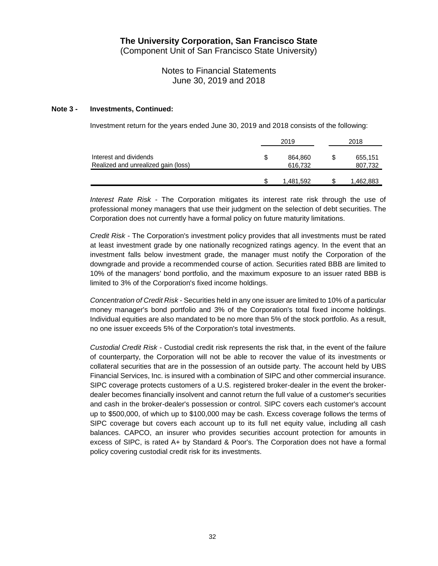(Component Unit of San Francisco State University)

## Notes to Financial Statements June 30, 2019 and 2018

#### **Note 3 - Investments, Continued:**

Investment return for the years ended June 30, 2019 and 2018 consists of the following:

|                                                               |  | 2019               | 2018                     |
|---------------------------------------------------------------|--|--------------------|--------------------------|
| Interest and dividends<br>Realized and unrealized gain (loss) |  | 864,860<br>616.732 | \$<br>655,151<br>807,732 |
|                                                               |  | 1.481.592          | 1,462,883                |

*Interest Rate Risk* - The Corporation mitigates its interest rate risk through the use of professional money managers that use their judgment on the selection of debt securities. The Corporation does not currently have a formal policy on future maturity limitations.

*Credit Risk* - The Corporation's investment policy provides that all investments must be rated at least investment grade by one nationally recognized ratings agency. In the event that an investment falls below investment grade, the manager must notify the Corporation of the downgrade and provide a recommended course of action. Securities rated BBB are limited to 10% of the managers' bond portfolio, and the maximum exposure to an issuer rated BBB is limited to 3% of the Corporation's fixed income holdings.

*Concentration of Credit Risk* - Securities held in any one issuer are limited to 10% of a particular money manager's bond portfolio and 3% of the Corporation's total fixed income holdings. Individual equities are also mandated to be no more than 5% of the stock portfolio. As a result, no one issuer exceeds 5% of the Corporation's total investments.

*Custodial Credit Risk* - Custodial credit risk represents the risk that, in the event of the failure of counterparty, the Corporation will not be able to recover the value of its investments or collateral securities that are in the possession of an outside party. The account held by UBS Financial Services, Inc. is insured with a combination of SIPC and other commercial insurance. SIPC coverage protects customers of a U.S. registered broker-dealer in the event the brokerdealer becomes financially insolvent and cannot return the full value of a customer's securities and cash in the broker-dealer's possession or control. SIPC covers each customer's account up to \$500,000, of which up to \$100,000 may be cash. Excess coverage follows the terms of SIPC coverage but covers each account up to its full net equity value, including all cash balances. CAPCO, an insurer who provides securities account protection for amounts in excess of SIPC, is rated A+ by Standard & Poor's. The Corporation does not have a formal policy covering custodial credit risk for its investments.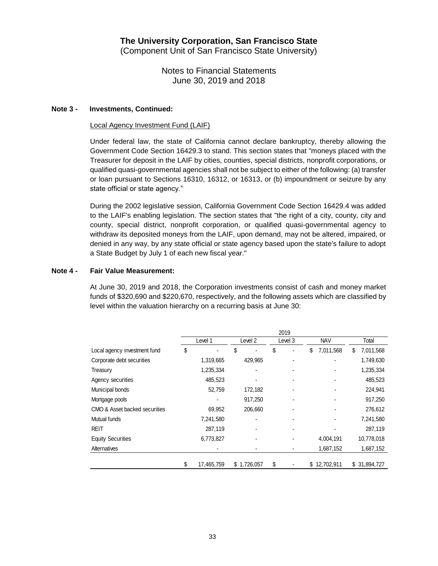Notes to Financial Statements June 30, 2019 and 2018

#### **Note 3 - Investments, Continued:**

#### Local Agency Investment Fund (LAIF)

Under federal law, the state of California cannot declare bankruptcy, thereby allowing the Government Code Section 16429.3 to stand. This section states that "moneys placed with the Treasurer for deposit in the LAIF by cities, counties, special districts, nonprofit corporations, or qualified quasi-governmental agencies shall not be subject to either of the following: (a) transfer or loan pursuant to Sections 16310, 16312, or 16313, or (b) impoundment or seizure by any state official or state agency."

During the 2002 legislative session, California Government Code Section 16429.4 was added to the LAIF's enabling legislation. The section states that "the right of a city, county, city and county, special district, nonprofit corporation, or qualified quasi-governmental agency to withdraw its deposited moneys from the LAIF, upon demand, may not be altered, impaired, or denied in any way, by any state official or state agency based upon the state's failure to adopt a State Budget by July 1 of each new fiscal year."

#### **Note 4 - Fair Value Measurement:**

At June 30, 2019 and 2018, the Corporation investments consist of cash and money market funds of \$320,690 and \$220,670, respectively, and the following assets which are classified by level within the valuation hierarchy on a recurring basis at June 30:

|                               |    |            |    |             |    | 2019    |    |            |    |              |  |
|-------------------------------|----|------------|----|-------------|----|---------|----|------------|----|--------------|--|
|                               |    | Level 1    |    | Level 2     |    | Level 3 |    | <b>NAV</b> |    | Total        |  |
| Local agency investment fund  | \$ |            | \$ |             | \$ |         | \$ | 7,011,568  | \$ | 7,011,568    |  |
| Corporate debt securities     |    | 1,319,665  |    | 429,965     |    |         |    |            |    | 1,749,630    |  |
| Treasury                      |    | 1,235,334  |    |             |    |         |    |            |    | 1,235,334    |  |
| Agency securities             |    | 485,523    |    |             |    |         |    |            |    | 485,523      |  |
| Municipal bonds               |    | 52,759     |    | 172,182     |    |         |    |            |    | 224,941      |  |
| Mortgage pools                |    |            |    | 917,250     |    |         |    |            |    | 917,250      |  |
| CMO & Asset backed securities |    | 69,952     |    | 206,660     |    |         |    |            |    | 276,612      |  |
| Mutual funds                  |    | 7,241,580  |    |             |    |         |    |            |    | 7,241,580    |  |
| <b>REIT</b>                   |    | 287,119    |    |             |    |         |    |            |    | 287,119      |  |
| <b>Equity Securities</b>      |    | 6,773,827  |    |             |    |         |    | 4,004,191  |    | 10,778,018   |  |
| Alternatives                  |    |            |    |             |    |         |    | 1,687,152  |    | 1,687,152    |  |
|                               | S  | 17,465,759 |    | \$1,726,057 | \$ |         | S. | 12,702,911 |    | \$31,894,727 |  |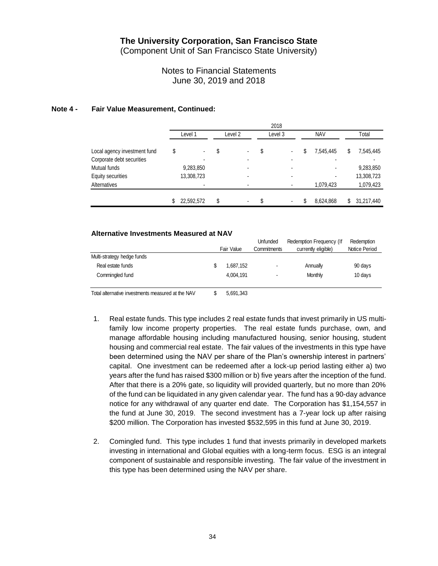(Component Unit of San Francisco State University)

## Notes to Financial Statements June 30, 2019 and 2018

#### **Note 4 - Fair Value Measurement, Continued:**

|                              |   |            |                |    | 2018    |   |                |     |            |
|------------------------------|---|------------|----------------|----|---------|---|----------------|-----|------------|
|                              |   | Level 1    | Level 2        |    | Level 3 |   | <b>NAV</b>     |     | Total      |
| Local agency investment fund | S |            | \$<br>٠        | \$ | ٠       | S | 7,545,445      | \$  | 7,545,445  |
| Corporate debt securities    |   |            |                |    | ۰       |   | $\blacksquare$ |     | ۰          |
| Mutual funds                 |   | 9,283,850  |                |    | ۰       |   | $\blacksquare$ |     | 9,283,850  |
| Equity securities            |   | 13,308,723 |                |    | ۰       |   | $\blacksquare$ |     | 13,308,723 |
| Alternatives                 |   | ۰          | $\blacksquare$ |    | ٠       |   | 1,079,423      |     | 1,079,423  |
|                              |   |            |                |    |         |   |                |     |            |
|                              |   | 22,592,572 | \$             | S  | ۰       |   | 8,624,868      | \$. | 31,217,440 |

#### **Alternative Investments Measured at NAV**

|                            |    | Fair Value | Unfunded<br>Commitments  | Redemption Frequency (If<br>currently eligible) | Redemption<br>Notice Period |
|----------------------------|----|------------|--------------------------|-------------------------------------------------|-----------------------------|
| Multi-strategy hedge funds |    |            |                          |                                                 |                             |
| Real estate funds          | J. | 1,687,152  | $\overline{\phantom{a}}$ | Annually                                        | 90 days                     |
| Commingled fund            |    | 4,004,191  | $\,$                     | Monthly                                         | 10 days                     |
|                            |    |            |                          |                                                 |                             |

Total alternative investments measured at the NAV  $$5.691.343$ 

- 1. Real estate funds. This type includes 2 real estate funds that invest primarily in US multifamily low income property properties. The real estate funds purchase, own, and manage affordable housing including manufactured housing, senior housing, student housing and commercial real estate. The fair values of the investments in this type have been determined using the NAV per share of the Plan's ownership interest in partners' capital. One investment can be redeemed after a lock-up period lasting either a) two years after the fund has raised \$300 million or b) five years after the inception of the fund. After that there is a 20% gate, so liquidity will provided quarterly, but no more than 20% of the fund can be liquidated in any given calendar year. The fund has a 90-day advance notice for any withdrawal of any quarter end date. The Corporation has \$1,154,557 in the fund at June 30, 2019. The second investment has a 7-year lock up after raising \$200 million. The Corporation has invested \$532,595 in this fund at June 30, 2019.
- 2. Comingled fund. This type includes 1 fund that invests primarily in developed markets investing in international and Global equities with a long-term focus. ESG is an integral component of sustainable and responsible investing. The fair value of the investment in this type has been determined using the NAV per share.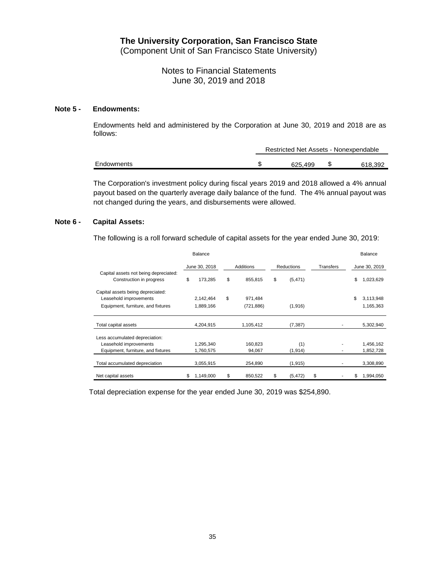## Notes to Financial Statements June 30, 2019 and 2018

#### **Note 5 - Endowments:**

Endowments held and administered by the Corporation at June 30, 2019 and 2018 are as follows:

| <b>Endowments</b><br>625.499 | 618.392 |  |
|------------------------------|---------|--|

The Corporation's investment policy during fiscal years 2019 and 2018 allowed a 4% annual payout based on the quarterly average daily balance of the fund. The 4% annual payout was not changed during the years, and disbursements were allowed.

#### **Note 6 - Capital Assets:**

The following is a roll forward schedule of capital assets for the year ended June 30, 2019:

|                                                                   |    | <b>Balance</b> |               |                   |                  |    | Balance       |
|-------------------------------------------------------------------|----|----------------|---------------|-------------------|------------------|----|---------------|
|                                                                   |    | June 30, 2018  | Additions     | <b>Reductions</b> | <b>Transfers</b> |    | June 30, 2019 |
| Capital assets not being depreciated:<br>Construction in progress | \$ | 173,285        | \$<br>855,815 | \$<br>(5, 471)    |                  | \$ | 1,023,629     |
| Capital assets being depreciated:                                 |    |                |               |                   |                  |    |               |
| Leasehold improvements                                            |    | 2,142,464      | \$<br>971,484 |                   |                  | \$ | 3,113,948     |
| Equipment, furniture, and fixtures                                |    | 1,889,166      | (721, 886)    | (1,916)           |                  |    | 1,165,363     |
| Total capital assets                                              |    | 4,204,915      | 1,105,412     | (7, 387)          |                  |    | 5,302,940     |
| Less accumulated depreciation:                                    |    |                |               |                   |                  |    |               |
| Leasehold improvements                                            |    | 1,295,340      | 160,823       | (1)               |                  |    | 1,456,162     |
| Equipment, furniture, and fixtures                                |    | 1,760,575      | 94,067        | (1, 914)          |                  |    | 1,852,728     |
| Total accumulated depreciation                                    |    | 3,055,915      | 254,890       | (1, 915)          |                  |    | 3,308,890     |
| Net capital assets                                                | S  | 1,149,000      | \$<br>850.522 | \$<br>(5, 472)    | \$               | \$ | 1,994,050     |

Total depreciation expense for the year ended June 30, 2019 was \$254,890.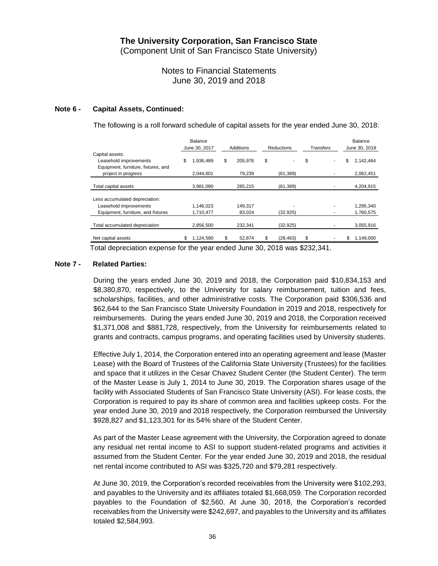(Component Unit of San Francisco State University)

## Notes to Financial Statements June 30, 2019 and 2018

#### **Note 6 - Capital Assets, Continued:**

The following is a roll forward schedule of capital assets for the year ended June 30, 2018:

|                                                            | Balance<br>June 30, 2017 | Additions     | <b>Reductions</b> | Transfers | Balance<br>June 30, 2018 |
|------------------------------------------------------------|--------------------------|---------------|-------------------|-----------|--------------------------|
| Capital assets:<br>Leasehold improvements                  | \$<br>1,936,489          | \$<br>205.976 | \$<br>٠           | \$        | \$<br>2,142,464          |
| Equipment, furniture, fixtures, and<br>project in progress | 2.044.601                | 79,239        | (61, 389)         |           | 2,062,451                |
| Total capital assets                                       | 3,981,090                | 285.215       | (61, 389)         |           | 4,204,915                |
| Less accumulated depreciation:                             |                          |               |                   |           |                          |
| Leasehold improvements                                     | 1,146,023                | 149,317       | ۰                 |           | 1,295,340                |
| Equipment, furniture, and fixtures                         | 1,710,477                | 83,024        | (32, 925)         |           | 1,760,575                |
|                                                            |                          |               |                   |           |                          |
| Total accumulated depreciation                             | 2,856,500                | 232,341       | (32, 925)         |           | 3,055,916                |
| Net capital assets                                         | \$<br>1,124,590          | \$<br>52.874  | \$<br>(28, 463)   | \$        | \$<br>1,149,000          |

Total depreciation expense for the year ended June 30, 2018 was \$232,341.

#### **Note 7 - Related Parties:**

During the years ended June 30, 2019 and 2018, the Corporation paid \$10,834,153 and \$8,380,870, respectively, to the University for salary reimbursement, tuition and fees, scholarships, facilities, and other administrative costs. The Corporation paid \$306,536 and \$62,644 to the San Francisco State University Foundation in 2019 and 2018, respectively for reimbursements. During the years ended June 30, 2019 and 2018, the Corporation received \$1,371,008 and \$881,728, respectively, from the University for reimbursements related to grants and contracts, campus programs, and operating facilities used by University students.

Effective July 1, 2014, the Corporation entered into an operating agreement and lease (Master Lease) with the Board of Trustees of the California State University (Trustees) for the facilities and space that it utilizes in the Cesar Chavez Student Center (the Student Center). The term of the Master Lease is July 1, 2014 to June 30, 2019. The Corporation shares usage of the facility with Associated Students of San Francisco State University (ASI). For lease costs, the Corporation is required to pay its share of common area and facilities upkeep costs. For the year ended June 30, 2019 and 2018 respectively, the Corporation reimbursed the University \$928,827 and \$1,123,301 for its 54% share of the Student Center.

As part of the Master Lease agreement with the University, the Corporation agreed to donate any residual net rental income to ASI to support student-related programs and activities it assumed from the Student Center. For the year ended June 30, 2019 and 2018, the residual net rental income contributed to ASI was \$325,720 and \$79,281 respectively.

At June 30, 2019, the Corporation's recorded receivables from the University were \$102,293, and payables to the University and its affiliates totaled \$1,668,059. The Corporation recorded payables to the Foundation of \$2,560. At June 30, 2018, the Corporation's recorded receivables from the University were \$242,697, and payables to the University and its affiliates totaled \$2,584,993.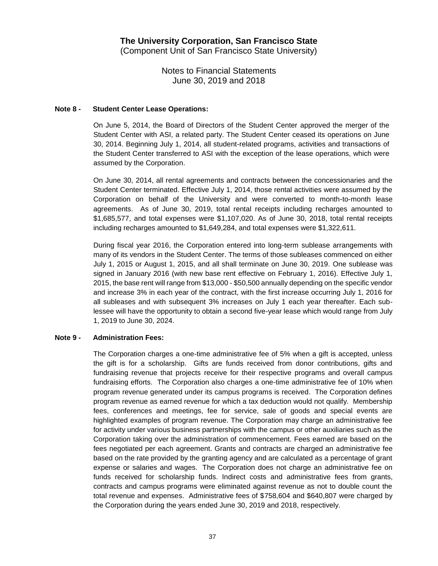Notes to Financial Statements June 30, 2019 and 2018

#### **Note 8 - Student Center Lease Operations:**

On June 5, 2014, the Board of Directors of the Student Center approved the merger of the Student Center with ASI, a related party. The Student Center ceased its operations on June 30, 2014. Beginning July 1, 2014, all student-related programs, activities and transactions of the Student Center transferred to ASI with the exception of the lease operations, which were assumed by the Corporation.

On June 30, 2014, all rental agreements and contracts between the concessionaries and the Student Center terminated. Effective July 1, 2014, those rental activities were assumed by the Corporation on behalf of the University and were converted to month-to-month lease agreements. As of June 30, 2019, total rental receipts including recharges amounted to \$1,685,577, and total expenses were \$1,107,020. As of June 30, 2018, total rental receipts including recharges amounted to \$1,649,284, and total expenses were \$1,322,611.

During fiscal year 2016, the Corporation entered into long-term sublease arrangements with many of its vendors in the Student Center. The terms of those subleases commenced on either July 1, 2015 or August 1, 2015, and all shall terminate on June 30, 2019. One sublease was signed in January 2016 (with new base rent effective on February 1, 2016). Effective July 1, 2015, the base rent will range from \$13,000 - \$50,500 annually depending on the specific vendor and increase 3% in each year of the contract, with the first increase occurring July 1, 2016 for all subleases and with subsequent 3% increases on July 1 each year thereafter. Each sublessee will have the opportunity to obtain a second five-year lease which would range from July 1, 2019 to June 30, 2024.

## **Note 9 - Administration Fees:**

The Corporation charges a one-time administrative fee of 5% when a gift is accepted, unless the gift is for a scholarship. Gifts are funds received from donor contributions, gifts and fundraising revenue that projects receive for their respective programs and overall campus fundraising efforts. The Corporation also charges a one-time administrative fee of 10% when program revenue generated under its campus programs is received. The Corporation defines program revenue as earned revenue for which a tax deduction would not qualify. Membership fees, conferences and meetings, fee for service, sale of goods and special events are highlighted examples of program revenue. The Corporation may charge an administrative fee for activity under various business partnerships with the campus or other auxiliaries such as the Corporation taking over the administration of commencement. Fees earned are based on the fees negotiated per each agreement. Grants and contracts are charged an administrative fee based on the rate provided by the granting agency and are calculated as a percentage of grant expense or salaries and wages. The Corporation does not charge an administrative fee on funds received for scholarship funds. Indirect costs and administrative fees from grants, contracts and campus programs were eliminated against revenue as not to double count the total revenue and expenses. Administrative fees of \$758,604 and \$640,807 were charged by the Corporation during the years ended June 30, 2019 and 2018, respectively.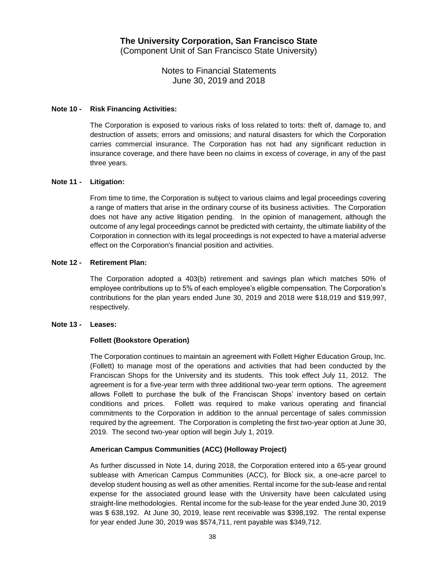Notes to Financial Statements June 30, 2019 and 2018

#### **Note 10 - Risk Financing Activities:**

The Corporation is exposed to various risks of loss related to torts: theft of, damage to, and destruction of assets; errors and omissions; and natural disasters for which the Corporation carries commercial insurance. The Corporation has not had any significant reduction in insurance coverage, and there have been no claims in excess of coverage, in any of the past three years.

#### **Note 11 - Litigation:**

From time to time, the Corporation is subject to various claims and legal proceedings covering a range of matters that arise in the ordinary course of its business activities. The Corporation does not have any active litigation pending. In the opinion of management, although the outcome of any legal proceedings cannot be predicted with certainty, the ultimate liability of the Corporation in connection with its legal proceedings is not expected to have a material adverse effect on the Corporation's financial position and activities.

#### **Note 12 - Retirement Plan:**

The Corporation adopted a 403(b) retirement and savings plan which matches 50% of employee contributions up to 5% of each employee's eligible compensation. The Corporation's contributions for the plan years ended June 30, 2019 and 2018 were \$18,019 and \$19,997, respectively.

#### **Note 13 - Leases:**

## **Follett (Bookstore Operation)**

The Corporation continues to maintain an agreement with Follett Higher Education Group, Inc. (Follett) to manage most of the operations and activities that had been conducted by the Franciscan Shops for the University and its students. This took effect July 11, 2012. The agreement is for a five-year term with three additional two-year term options. The agreement allows Follett to purchase the bulk of the Franciscan Shops' inventory based on certain conditions and prices. Follett was required to make various operating and financial commitments to the Corporation in addition to the annual percentage of sales commission required by the agreement. The Corporation is completing the first two-year option at June 30, 2019. The second two-year option will begin July 1, 2019.

#### **American Campus Communities (ACC) (Holloway Project)**

As further discussed in Note 14, during 2018, the Corporation entered into a 65-year ground sublease with American Campus Communities (ACC), for Block six, a one-acre parcel to develop student housing as well as other amenities. Rental income for the sub-lease and rental expense for the associated ground lease with the University have been calculated using straight-line methodologies. Rental income for the sub-lease for the year ended June 30, 2019 was \$ 638,192. At June 30, 2019, lease rent receivable was \$398,192. The rental expense for year ended June 30, 2019 was \$574,711, rent payable was \$349,712.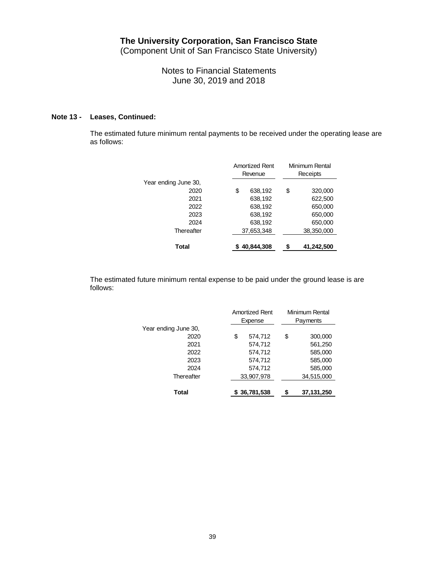(Component Unit of San Francisco State University)

## Notes to Financial Statements June 30, 2019 and 2018

#### **Note 13 - Leases, Continued:**

The estimated future minimum rental payments to be received under the operating lease are as follows:

|                      | <b>Amortized Rent</b> |    | Minimum Rental |
|----------------------|-----------------------|----|----------------|
|                      | Revenue               |    | Receipts       |
| Year ending June 30, |                       |    |                |
| 2020                 | \$<br>638,192         | \$ | 320,000        |
| 2021                 | 638,192               |    | 622,500        |
| 2022                 | 638,192               |    | 650,000        |
| 2023                 | 638,192               |    | 650,000        |
| 2024                 | 638,192               |    | 650,000        |
| Thereafter           | 37,653,348            |    | 38,350,000     |
|                      |                       |    |                |
| Total                | 40.844.308            | S  | 41,242,500     |

The estimated future minimum rental expense to be paid under the ground lease is are follows:

|                      | <b>Amortized Rent</b> |              | Minimum Rental |
|----------------------|-----------------------|--------------|----------------|
|                      |                       | Expense      | Payments       |
| Year ending June 30, |                       |              |                |
| 2020                 | \$                    | 574,712      | \$<br>300,000  |
| 2021                 |                       | 574,712      | 561,250        |
| 2022                 |                       | 574,712      | 585,000        |
| 2023                 |                       | 574,712      | 585,000        |
| 2024                 |                       | 574,712      | 585,000        |
| Thereafter           |                       | 33,907,978   | 34,515,000     |
|                      |                       |              |                |
| Total                |                       | \$36,781,538 | 37,131,250     |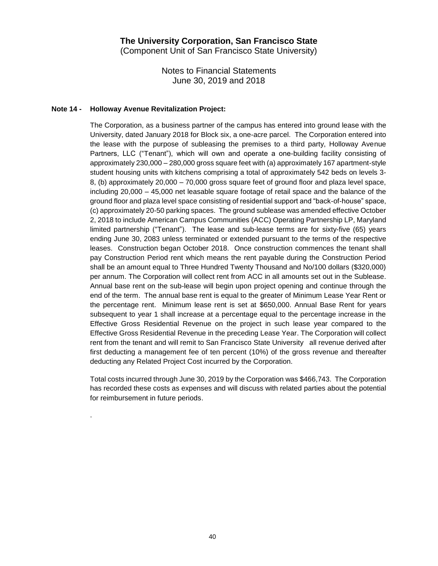Notes to Financial Statements June 30, 2019 and 2018

#### **Note 14 - Holloway Avenue Revitalization Project:**

.

The Corporation, as a business partner of the campus has entered into ground lease with the University, dated January 2018 for Block six, a one-acre parcel. The Corporation entered into the lease with the purpose of subleasing the premises to a third party, Holloway Avenue Partners, LLC ("Tenant"), which will own and operate a one-building facility consisting of approximately 230,000 – 280,000 gross square feet with (a) approximately 167 apartment-style student housing units with kitchens comprising a total of approximately 542 beds on levels 3- 8, (b) approximately 20,000 – 70,000 gross square feet of ground floor and plaza level space, including 20,000 – 45,000 net leasable square footage of retail space and the balance of the ground floor and plaza level space consisting of residential support and "back-of-house" space, (c) approximately 20-50 parking spaces. The ground sublease was amended effective October 2, 2018 to include American Campus Communities (ACC) Operating Partnership LP, Maryland limited partnership ("Tenant"). The lease and sub-lease terms are for sixty-five (65) years ending June 30, 2083 unless terminated or extended pursuant to the terms of the respective leases. Construction began October 2018. Once construction commences the tenant shall pay Construction Period rent which means the rent payable during the Construction Period shall be an amount equal to Three Hundred Twenty Thousand and No/100 dollars (\$320,000) per annum. The Corporation will collect rent from ACC in all amounts set out in the Sublease. Annual base rent on the sub-lease will begin upon project opening and continue through the end of the term. The annual base rent is equal to the greater of Minimum Lease Year Rent or the percentage rent. Minimum lease rent is set at \$650,000. Annual Base Rent for years subsequent to year 1 shall increase at a percentage equal to the percentage increase in the Effective Gross Residential Revenue on the project in such lease year compared to the Effective Gross Residential Revenue in the preceding Lease Year. The Corporation will collect rent from the tenant and will remit to San Francisco State University all revenue derived after first deducting a management fee of ten percent (10%) of the gross revenue and thereafter deducting any Related Project Cost incurred by the Corporation.

Total costs incurred through June 30, 2019 by the Corporation was \$466,743. The Corporation has recorded these costs as expenses and will discuss with related parties about the potential for reimbursement in future periods.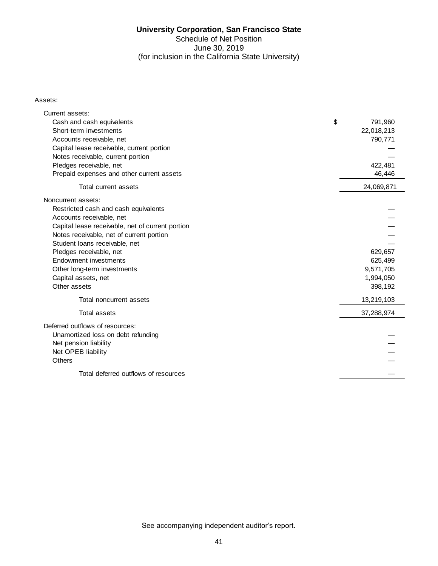#### Schedule of Net Position June 30, 2019

(for inclusion in the California State University)

#### Assets:

| \$<br>Cash and cash equivalents<br>791,960<br>22,018,213<br>Short-term investments<br>Accounts receivable, net<br>790,771<br>Capital lease receivable, current portion<br>Notes receivable, current portion<br>Pledges receivable, net<br>422,481<br>Prepaid expenses and other current assets<br>46,446<br>24,069,871<br><b>Total current assets</b><br>Noncurrent assets:<br>Restricted cash and cash equivalents<br>Accounts receivable, net<br>Capital lease receivable, net of current portion<br>Notes receivable, net of current portion<br>Student loans receivable, net<br>Pledges receivable, net<br>629,657<br>Endowment investments<br>625,499<br>Other long-term investments<br>9,571,705<br>Capital assets, net<br>1,994,050<br>Other assets<br>398,192<br>13,219,103<br>Total noncurrent assets<br><b>Total assets</b><br>37,288,974<br>Deferred outflows of resources:<br>Unamortized loss on debt refunding<br>Net pension liability<br>Net OPEB liability<br><b>Others</b><br>Total deferred outflows of resources | Current assets: |  |
|--------------------------------------------------------------------------------------------------------------------------------------------------------------------------------------------------------------------------------------------------------------------------------------------------------------------------------------------------------------------------------------------------------------------------------------------------------------------------------------------------------------------------------------------------------------------------------------------------------------------------------------------------------------------------------------------------------------------------------------------------------------------------------------------------------------------------------------------------------------------------------------------------------------------------------------------------------------------------------------------------------------------------------------|-----------------|--|
|                                                                                                                                                                                                                                                                                                                                                                                                                                                                                                                                                                                                                                                                                                                                                                                                                                                                                                                                                                                                                                      |                 |  |
|                                                                                                                                                                                                                                                                                                                                                                                                                                                                                                                                                                                                                                                                                                                                                                                                                                                                                                                                                                                                                                      |                 |  |
|                                                                                                                                                                                                                                                                                                                                                                                                                                                                                                                                                                                                                                                                                                                                                                                                                                                                                                                                                                                                                                      |                 |  |
|                                                                                                                                                                                                                                                                                                                                                                                                                                                                                                                                                                                                                                                                                                                                                                                                                                                                                                                                                                                                                                      |                 |  |
|                                                                                                                                                                                                                                                                                                                                                                                                                                                                                                                                                                                                                                                                                                                                                                                                                                                                                                                                                                                                                                      |                 |  |
|                                                                                                                                                                                                                                                                                                                                                                                                                                                                                                                                                                                                                                                                                                                                                                                                                                                                                                                                                                                                                                      |                 |  |
|                                                                                                                                                                                                                                                                                                                                                                                                                                                                                                                                                                                                                                                                                                                                                                                                                                                                                                                                                                                                                                      |                 |  |
|                                                                                                                                                                                                                                                                                                                                                                                                                                                                                                                                                                                                                                                                                                                                                                                                                                                                                                                                                                                                                                      |                 |  |
|                                                                                                                                                                                                                                                                                                                                                                                                                                                                                                                                                                                                                                                                                                                                                                                                                                                                                                                                                                                                                                      |                 |  |
|                                                                                                                                                                                                                                                                                                                                                                                                                                                                                                                                                                                                                                                                                                                                                                                                                                                                                                                                                                                                                                      |                 |  |
|                                                                                                                                                                                                                                                                                                                                                                                                                                                                                                                                                                                                                                                                                                                                                                                                                                                                                                                                                                                                                                      |                 |  |
|                                                                                                                                                                                                                                                                                                                                                                                                                                                                                                                                                                                                                                                                                                                                                                                                                                                                                                                                                                                                                                      |                 |  |
|                                                                                                                                                                                                                                                                                                                                                                                                                                                                                                                                                                                                                                                                                                                                                                                                                                                                                                                                                                                                                                      |                 |  |
|                                                                                                                                                                                                                                                                                                                                                                                                                                                                                                                                                                                                                                                                                                                                                                                                                                                                                                                                                                                                                                      |                 |  |
|                                                                                                                                                                                                                                                                                                                                                                                                                                                                                                                                                                                                                                                                                                                                                                                                                                                                                                                                                                                                                                      |                 |  |
|                                                                                                                                                                                                                                                                                                                                                                                                                                                                                                                                                                                                                                                                                                                                                                                                                                                                                                                                                                                                                                      |                 |  |
|                                                                                                                                                                                                                                                                                                                                                                                                                                                                                                                                                                                                                                                                                                                                                                                                                                                                                                                                                                                                                                      |                 |  |
|                                                                                                                                                                                                                                                                                                                                                                                                                                                                                                                                                                                                                                                                                                                                                                                                                                                                                                                                                                                                                                      |                 |  |
|                                                                                                                                                                                                                                                                                                                                                                                                                                                                                                                                                                                                                                                                                                                                                                                                                                                                                                                                                                                                                                      |                 |  |
|                                                                                                                                                                                                                                                                                                                                                                                                                                                                                                                                                                                                                                                                                                                                                                                                                                                                                                                                                                                                                                      |                 |  |
|                                                                                                                                                                                                                                                                                                                                                                                                                                                                                                                                                                                                                                                                                                                                                                                                                                                                                                                                                                                                                                      |                 |  |
|                                                                                                                                                                                                                                                                                                                                                                                                                                                                                                                                                                                                                                                                                                                                                                                                                                                                                                                                                                                                                                      |                 |  |
|                                                                                                                                                                                                                                                                                                                                                                                                                                                                                                                                                                                                                                                                                                                                                                                                                                                                                                                                                                                                                                      |                 |  |
|                                                                                                                                                                                                                                                                                                                                                                                                                                                                                                                                                                                                                                                                                                                                                                                                                                                                                                                                                                                                                                      |                 |  |
|                                                                                                                                                                                                                                                                                                                                                                                                                                                                                                                                                                                                                                                                                                                                                                                                                                                                                                                                                                                                                                      |                 |  |
|                                                                                                                                                                                                                                                                                                                                                                                                                                                                                                                                                                                                                                                                                                                                                                                                                                                                                                                                                                                                                                      |                 |  |
|                                                                                                                                                                                                                                                                                                                                                                                                                                                                                                                                                                                                                                                                                                                                                                                                                                                                                                                                                                                                                                      |                 |  |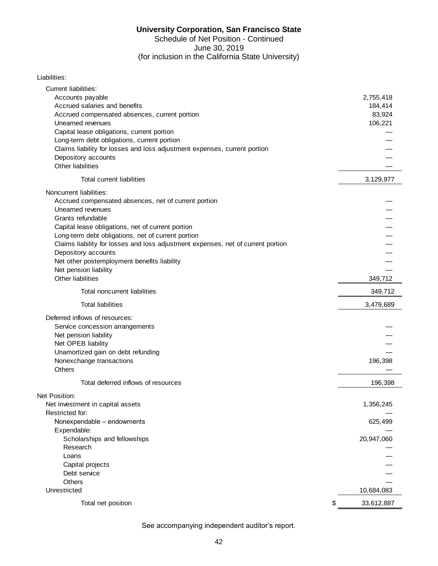## **University Corporation, San Francisco State** Schedule of Net Position - Continued June 30, 2019 (for inclusion in the California State University)

#### Liabilities:

| Accounts payable<br>2,755,418<br>Accrued salaries and benefits<br>184,414<br>83,924<br>Accrued compensated absences, current portion<br>106,221<br>Unearned revenues<br>Capital lease obligations, current portion<br>Long-term debt obligations, current portion<br>Claims liability for losses and loss adjustment expenses, current portion<br>Depository accounts<br>Other liabilities<br><b>Total current liabilities</b><br>3,129,977<br>Noncurrent liabilities:<br>Accrued compensated absences, net of current portion<br>Unearned revenues<br>Grants refundable<br>Capital lease obligations, net of current portion<br>Long-term debt obligations, net of current portion<br>Claims liability for losses and loss adjustment expenses, net of current portion<br>Depository accounts<br>Net other postemployment benefits liability<br>Net pension liability<br><b>Other liabilities</b><br>349,712<br>349,712<br><b>Total noncurrent liabilities</b><br><b>Total liabilities</b><br>3,479,689<br>Deferred inflows of resources:<br>Service concession arrangements<br>Net pension liability<br>Net OPEB liability<br>Unamortized gain on debt refunding<br>Nonexchange transactions<br>196,398<br>Others<br>Total deferred inflows of resources<br>196,398<br>Net Position:<br>1,356,245<br>Net investment in capital assets<br>Restricted for:<br>625,499<br>Nonexpendable - endowments<br>Expendable:<br>Scholarships and fellowships<br>20,947,060<br>Research<br>Loans<br>Capital projects<br>Debt service<br>Others<br>10,684,083<br>Unrestricted<br>33,612,887<br>Total net position<br>\$ | <b>Current liabilities:</b> |  |
|-------------------------------------------------------------------------------------------------------------------------------------------------------------------------------------------------------------------------------------------------------------------------------------------------------------------------------------------------------------------------------------------------------------------------------------------------------------------------------------------------------------------------------------------------------------------------------------------------------------------------------------------------------------------------------------------------------------------------------------------------------------------------------------------------------------------------------------------------------------------------------------------------------------------------------------------------------------------------------------------------------------------------------------------------------------------------------------------------------------------------------------------------------------------------------------------------------------------------------------------------------------------------------------------------------------------------------------------------------------------------------------------------------------------------------------------------------------------------------------------------------------------------------------------------------------------------------------------------------------|-----------------------------|--|
|                                                                                                                                                                                                                                                                                                                                                                                                                                                                                                                                                                                                                                                                                                                                                                                                                                                                                                                                                                                                                                                                                                                                                                                                                                                                                                                                                                                                                                                                                                                                                                                                             |                             |  |
|                                                                                                                                                                                                                                                                                                                                                                                                                                                                                                                                                                                                                                                                                                                                                                                                                                                                                                                                                                                                                                                                                                                                                                                                                                                                                                                                                                                                                                                                                                                                                                                                             |                             |  |
|                                                                                                                                                                                                                                                                                                                                                                                                                                                                                                                                                                                                                                                                                                                                                                                                                                                                                                                                                                                                                                                                                                                                                                                                                                                                                                                                                                                                                                                                                                                                                                                                             |                             |  |
|                                                                                                                                                                                                                                                                                                                                                                                                                                                                                                                                                                                                                                                                                                                                                                                                                                                                                                                                                                                                                                                                                                                                                                                                                                                                                                                                                                                                                                                                                                                                                                                                             |                             |  |
|                                                                                                                                                                                                                                                                                                                                                                                                                                                                                                                                                                                                                                                                                                                                                                                                                                                                                                                                                                                                                                                                                                                                                                                                                                                                                                                                                                                                                                                                                                                                                                                                             |                             |  |
|                                                                                                                                                                                                                                                                                                                                                                                                                                                                                                                                                                                                                                                                                                                                                                                                                                                                                                                                                                                                                                                                                                                                                                                                                                                                                                                                                                                                                                                                                                                                                                                                             |                             |  |
|                                                                                                                                                                                                                                                                                                                                                                                                                                                                                                                                                                                                                                                                                                                                                                                                                                                                                                                                                                                                                                                                                                                                                                                                                                                                                                                                                                                                                                                                                                                                                                                                             |                             |  |
|                                                                                                                                                                                                                                                                                                                                                                                                                                                                                                                                                                                                                                                                                                                                                                                                                                                                                                                                                                                                                                                                                                                                                                                                                                                                                                                                                                                                                                                                                                                                                                                                             |                             |  |
|                                                                                                                                                                                                                                                                                                                                                                                                                                                                                                                                                                                                                                                                                                                                                                                                                                                                                                                                                                                                                                                                                                                                                                                                                                                                                                                                                                                                                                                                                                                                                                                                             |                             |  |
|                                                                                                                                                                                                                                                                                                                                                                                                                                                                                                                                                                                                                                                                                                                                                                                                                                                                                                                                                                                                                                                                                                                                                                                                                                                                                                                                                                                                                                                                                                                                                                                                             |                             |  |
|                                                                                                                                                                                                                                                                                                                                                                                                                                                                                                                                                                                                                                                                                                                                                                                                                                                                                                                                                                                                                                                                                                                                                                                                                                                                                                                                                                                                                                                                                                                                                                                                             |                             |  |
|                                                                                                                                                                                                                                                                                                                                                                                                                                                                                                                                                                                                                                                                                                                                                                                                                                                                                                                                                                                                                                                                                                                                                                                                                                                                                                                                                                                                                                                                                                                                                                                                             |                             |  |
|                                                                                                                                                                                                                                                                                                                                                                                                                                                                                                                                                                                                                                                                                                                                                                                                                                                                                                                                                                                                                                                                                                                                                                                                                                                                                                                                                                                                                                                                                                                                                                                                             |                             |  |
|                                                                                                                                                                                                                                                                                                                                                                                                                                                                                                                                                                                                                                                                                                                                                                                                                                                                                                                                                                                                                                                                                                                                                                                                                                                                                                                                                                                                                                                                                                                                                                                                             |                             |  |
|                                                                                                                                                                                                                                                                                                                                                                                                                                                                                                                                                                                                                                                                                                                                                                                                                                                                                                                                                                                                                                                                                                                                                                                                                                                                                                                                                                                                                                                                                                                                                                                                             |                             |  |
|                                                                                                                                                                                                                                                                                                                                                                                                                                                                                                                                                                                                                                                                                                                                                                                                                                                                                                                                                                                                                                                                                                                                                                                                                                                                                                                                                                                                                                                                                                                                                                                                             |                             |  |
|                                                                                                                                                                                                                                                                                                                                                                                                                                                                                                                                                                                                                                                                                                                                                                                                                                                                                                                                                                                                                                                                                                                                                                                                                                                                                                                                                                                                                                                                                                                                                                                                             |                             |  |
|                                                                                                                                                                                                                                                                                                                                                                                                                                                                                                                                                                                                                                                                                                                                                                                                                                                                                                                                                                                                                                                                                                                                                                                                                                                                                                                                                                                                                                                                                                                                                                                                             |                             |  |
|                                                                                                                                                                                                                                                                                                                                                                                                                                                                                                                                                                                                                                                                                                                                                                                                                                                                                                                                                                                                                                                                                                                                                                                                                                                                                                                                                                                                                                                                                                                                                                                                             |                             |  |
|                                                                                                                                                                                                                                                                                                                                                                                                                                                                                                                                                                                                                                                                                                                                                                                                                                                                                                                                                                                                                                                                                                                                                                                                                                                                                                                                                                                                                                                                                                                                                                                                             |                             |  |
|                                                                                                                                                                                                                                                                                                                                                                                                                                                                                                                                                                                                                                                                                                                                                                                                                                                                                                                                                                                                                                                                                                                                                                                                                                                                                                                                                                                                                                                                                                                                                                                                             |                             |  |
|                                                                                                                                                                                                                                                                                                                                                                                                                                                                                                                                                                                                                                                                                                                                                                                                                                                                                                                                                                                                                                                                                                                                                                                                                                                                                                                                                                                                                                                                                                                                                                                                             |                             |  |
|                                                                                                                                                                                                                                                                                                                                                                                                                                                                                                                                                                                                                                                                                                                                                                                                                                                                                                                                                                                                                                                                                                                                                                                                                                                                                                                                                                                                                                                                                                                                                                                                             |                             |  |
|                                                                                                                                                                                                                                                                                                                                                                                                                                                                                                                                                                                                                                                                                                                                                                                                                                                                                                                                                                                                                                                                                                                                                                                                                                                                                                                                                                                                                                                                                                                                                                                                             |                             |  |
|                                                                                                                                                                                                                                                                                                                                                                                                                                                                                                                                                                                                                                                                                                                                                                                                                                                                                                                                                                                                                                                                                                                                                                                                                                                                                                                                                                                                                                                                                                                                                                                                             |                             |  |
|                                                                                                                                                                                                                                                                                                                                                                                                                                                                                                                                                                                                                                                                                                                                                                                                                                                                                                                                                                                                                                                                                                                                                                                                                                                                                                                                                                                                                                                                                                                                                                                                             |                             |  |
|                                                                                                                                                                                                                                                                                                                                                                                                                                                                                                                                                                                                                                                                                                                                                                                                                                                                                                                                                                                                                                                                                                                                                                                                                                                                                                                                                                                                                                                                                                                                                                                                             |                             |  |
|                                                                                                                                                                                                                                                                                                                                                                                                                                                                                                                                                                                                                                                                                                                                                                                                                                                                                                                                                                                                                                                                                                                                                                                                                                                                                                                                                                                                                                                                                                                                                                                                             |                             |  |
|                                                                                                                                                                                                                                                                                                                                                                                                                                                                                                                                                                                                                                                                                                                                                                                                                                                                                                                                                                                                                                                                                                                                                                                                                                                                                                                                                                                                                                                                                                                                                                                                             |                             |  |
|                                                                                                                                                                                                                                                                                                                                                                                                                                                                                                                                                                                                                                                                                                                                                                                                                                                                                                                                                                                                                                                                                                                                                                                                                                                                                                                                                                                                                                                                                                                                                                                                             |                             |  |
|                                                                                                                                                                                                                                                                                                                                                                                                                                                                                                                                                                                                                                                                                                                                                                                                                                                                                                                                                                                                                                                                                                                                                                                                                                                                                                                                                                                                                                                                                                                                                                                                             |                             |  |
|                                                                                                                                                                                                                                                                                                                                                                                                                                                                                                                                                                                                                                                                                                                                                                                                                                                                                                                                                                                                                                                                                                                                                                                                                                                                                                                                                                                                                                                                                                                                                                                                             |                             |  |
|                                                                                                                                                                                                                                                                                                                                                                                                                                                                                                                                                                                                                                                                                                                                                                                                                                                                                                                                                                                                                                                                                                                                                                                                                                                                                                                                                                                                                                                                                                                                                                                                             |                             |  |
|                                                                                                                                                                                                                                                                                                                                                                                                                                                                                                                                                                                                                                                                                                                                                                                                                                                                                                                                                                                                                                                                                                                                                                                                                                                                                                                                                                                                                                                                                                                                                                                                             |                             |  |
|                                                                                                                                                                                                                                                                                                                                                                                                                                                                                                                                                                                                                                                                                                                                                                                                                                                                                                                                                                                                                                                                                                                                                                                                                                                                                                                                                                                                                                                                                                                                                                                                             |                             |  |
|                                                                                                                                                                                                                                                                                                                                                                                                                                                                                                                                                                                                                                                                                                                                                                                                                                                                                                                                                                                                                                                                                                                                                                                                                                                                                                                                                                                                                                                                                                                                                                                                             |                             |  |
|                                                                                                                                                                                                                                                                                                                                                                                                                                                                                                                                                                                                                                                                                                                                                                                                                                                                                                                                                                                                                                                                                                                                                                                                                                                                                                                                                                                                                                                                                                                                                                                                             |                             |  |
|                                                                                                                                                                                                                                                                                                                                                                                                                                                                                                                                                                                                                                                                                                                                                                                                                                                                                                                                                                                                                                                                                                                                                                                                                                                                                                                                                                                                                                                                                                                                                                                                             |                             |  |
|                                                                                                                                                                                                                                                                                                                                                                                                                                                                                                                                                                                                                                                                                                                                                                                                                                                                                                                                                                                                                                                                                                                                                                                                                                                                                                                                                                                                                                                                                                                                                                                                             |                             |  |
|                                                                                                                                                                                                                                                                                                                                                                                                                                                                                                                                                                                                                                                                                                                                                                                                                                                                                                                                                                                                                                                                                                                                                                                                                                                                                                                                                                                                                                                                                                                                                                                                             |                             |  |
|                                                                                                                                                                                                                                                                                                                                                                                                                                                                                                                                                                                                                                                                                                                                                                                                                                                                                                                                                                                                                                                                                                                                                                                                                                                                                                                                                                                                                                                                                                                                                                                                             |                             |  |
|                                                                                                                                                                                                                                                                                                                                                                                                                                                                                                                                                                                                                                                                                                                                                                                                                                                                                                                                                                                                                                                                                                                                                                                                                                                                                                                                                                                                                                                                                                                                                                                                             |                             |  |
|                                                                                                                                                                                                                                                                                                                                                                                                                                                                                                                                                                                                                                                                                                                                                                                                                                                                                                                                                                                                                                                                                                                                                                                                                                                                                                                                                                                                                                                                                                                                                                                                             |                             |  |
|                                                                                                                                                                                                                                                                                                                                                                                                                                                                                                                                                                                                                                                                                                                                                                                                                                                                                                                                                                                                                                                                                                                                                                                                                                                                                                                                                                                                                                                                                                                                                                                                             |                             |  |
|                                                                                                                                                                                                                                                                                                                                                                                                                                                                                                                                                                                                                                                                                                                                                                                                                                                                                                                                                                                                                                                                                                                                                                                                                                                                                                                                                                                                                                                                                                                                                                                                             |                             |  |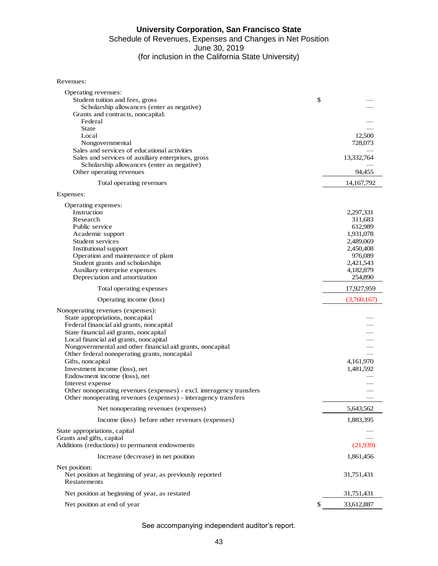## **University Corporation, San Francisco State** Schedule of Revenues, Expenses and Changes in Net Position June 30, 2019 (for inclusion in the California State University)

| Revenues: |  |
|-----------|--|

| Operating revenues:<br>\$<br>Student tuition and fees, gross<br>Scholarship allowances (enter as negative)                                                                                                                                                                                                                                                                                                                     |                        |
|--------------------------------------------------------------------------------------------------------------------------------------------------------------------------------------------------------------------------------------------------------------------------------------------------------------------------------------------------------------------------------------------------------------------------------|------------------------|
| Grants and contracts, noncapital:<br>Federal                                                                                                                                                                                                                                                                                                                                                                                   |                        |
| <b>State</b>                                                                                                                                                                                                                                                                                                                                                                                                                   |                        |
| Local                                                                                                                                                                                                                                                                                                                                                                                                                          | 12,500                 |
| Nongovernmental                                                                                                                                                                                                                                                                                                                                                                                                                | 728,073                |
| Sales and services of educational activities                                                                                                                                                                                                                                                                                                                                                                                   |                        |
| Sales and services of auxiliary enterprises, gross                                                                                                                                                                                                                                                                                                                                                                             | 13,332,764             |
| Scholarship allowances (enter as negative)<br>Other operating revenues                                                                                                                                                                                                                                                                                                                                                         | 94,455                 |
|                                                                                                                                                                                                                                                                                                                                                                                                                                |                        |
| Total operating revenues                                                                                                                                                                                                                                                                                                                                                                                                       | 14,167,792             |
| Expenses:                                                                                                                                                                                                                                                                                                                                                                                                                      |                        |
| Operating expenses:                                                                                                                                                                                                                                                                                                                                                                                                            |                        |
| Instruction                                                                                                                                                                                                                                                                                                                                                                                                                    | 2,297,331              |
| Research                                                                                                                                                                                                                                                                                                                                                                                                                       | 311,683                |
| Public service                                                                                                                                                                                                                                                                                                                                                                                                                 | 612,989                |
| Academic support<br>Student services                                                                                                                                                                                                                                                                                                                                                                                           | 1,931,078<br>2,489,069 |
| Institutional support                                                                                                                                                                                                                                                                                                                                                                                                          | 2,450,408              |
| Operation and maintenance of plant                                                                                                                                                                                                                                                                                                                                                                                             | 976,089                |
| Student grants and scholarships                                                                                                                                                                                                                                                                                                                                                                                                | 2,421,543              |
| Auxiliary enterprise expenses                                                                                                                                                                                                                                                                                                                                                                                                  | 4,182,879              |
| Depreciation and amortization                                                                                                                                                                                                                                                                                                                                                                                                  | 254,890                |
| Total operating expenses                                                                                                                                                                                                                                                                                                                                                                                                       | 17,927,959             |
| Operating income (loss)                                                                                                                                                                                                                                                                                                                                                                                                        | (3,760,167)            |
| Nonoperating revenues (expenses):<br>State appropriations, noncapital<br>Federal financial aid grants, noncapital<br>State financial aid grants, noncapital<br>Local financial aid grants, noncapital<br>Nongovernmental and other financial aid grants, noncapital<br>Other federal nonoperating grants, noncapital<br>Gifts, noncapital<br>Investment income (loss), net<br>Endowment income (loss), net<br>Interest expense | 4,161,970<br>1,481,592 |
| Other nonoperating revenues (expenses) - excl. interagency transfers                                                                                                                                                                                                                                                                                                                                                           |                        |
| Other nonoperating revenues (expenses) - interagency transfers                                                                                                                                                                                                                                                                                                                                                                 |                        |
| Net nonoperating revenues (expenses)                                                                                                                                                                                                                                                                                                                                                                                           | 5,643,562              |
| Income (loss) before other revenues (expenses)                                                                                                                                                                                                                                                                                                                                                                                 | 1,883,395              |
| State appropriations, capital<br>Grants and gifts, capital<br>Additions (reductions) to permanent endowments                                                                                                                                                                                                                                                                                                                   | (21,939)               |
| Increase (decrease) in net position                                                                                                                                                                                                                                                                                                                                                                                            | 1,861,456              |
| Net position:<br>Net position at beginning of year, as previously reported<br>Restatements                                                                                                                                                                                                                                                                                                                                     | 31,751,431             |
| Net position at beginning of year, as restated                                                                                                                                                                                                                                                                                                                                                                                 | 31,751,431             |
| Net position at end of year<br>\$                                                                                                                                                                                                                                                                                                                                                                                              | 33,612,887             |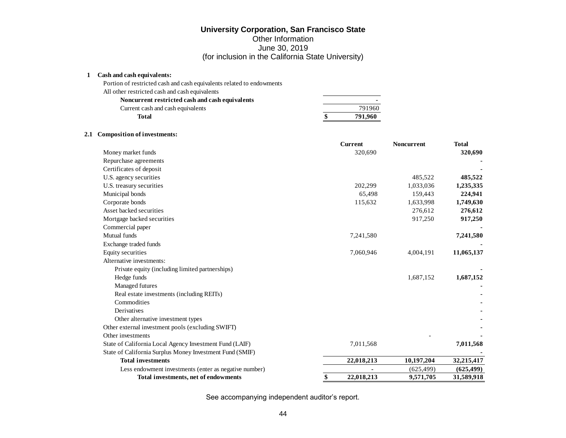## Other Information June 30, 2019 (for inclusion in the California State University)

**1 Cash and cash equivalents:**

Portion of restricted cash and cash equivalents related to endowments

All other restricted cash and cash equivalents

|     | Noncurrent restricted cash and cash equivalents          |                  |                   |              |
|-----|----------------------------------------------------------|------------------|-------------------|--------------|
|     | Current cash and cash equivalents                        | 791960           |                   |              |
|     | <b>Total</b>                                             | \$<br>791,960    |                   |              |
| 2.1 | <b>Composition of investments:</b>                       |                  |                   |              |
|     |                                                          | <b>Current</b>   | <b>Noncurrent</b> | <b>Total</b> |
|     | Money market funds                                       | 320,690          |                   | 320,690      |
|     | Repurchase agreements                                    |                  |                   |              |
|     | Certificates of deposit                                  |                  |                   |              |
|     | U.S. agency securities                                   |                  | 485,522           | 485,522      |
|     | U.S. treasury securities                                 | 202.299          | 1,033,036         | 1,235,335    |
|     | Municipal bonds                                          | 65,498           | 159,443           | 224,941      |
|     | Corporate bonds                                          | 115,632          | 1,633,998         | 1,749,630    |
|     | Asset backed securities                                  |                  | 276,612           | 276,612      |
|     | Mortgage backed securities                               |                  | 917,250           | 917,250      |
|     | Commercial paper                                         |                  |                   |              |
|     | Mutual funds                                             | 7,241,580        |                   | 7,241,580    |
|     | Exchange traded funds                                    |                  |                   |              |
|     | Equity securities                                        | 7,060,946        | 4,004,191         | 11,065,137   |
|     | Alternative investments:                                 |                  |                   |              |
|     | Private equity (including limited partnerships)          |                  |                   |              |
|     | Hedge funds                                              |                  | 1,687,152         | 1,687,152    |
|     | Managed futures                                          |                  |                   |              |
|     | Real estate investments (including REITs)                |                  |                   |              |
|     | Commodities                                              |                  |                   |              |
|     | Derivatives                                              |                  |                   |              |
|     | Other alternative investment types                       |                  |                   |              |
|     | Other external investment pools (excluding SWIFT)        |                  |                   |              |
|     | Other investments                                        |                  |                   |              |
|     | State of California Local Agency Investment Fund (LAIF)  | 7,011,568        |                   | 7,011,568    |
|     | State of California Surplus Money Investment Fund (SMIF) |                  |                   |              |
|     | <b>Total investments</b>                                 | 22,018,213       | 10,197,204        | 32,215,417   |
|     | Less endowment investments (enter as negative number)    |                  | (625, 499)        | (625, 499)   |
|     | Total investments, net of endowments                     | \$<br>22,018,213 | 9,571,705         | 31,589,918   |
|     |                                                          |                  |                   |              |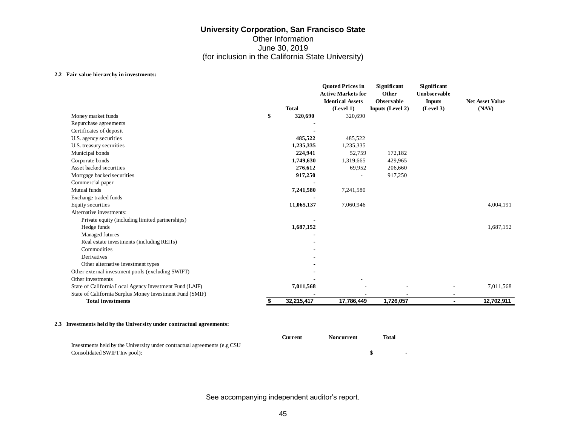Other Information June 30, 2019 (for inclusion in the California State University)

#### **2.2 Fair value hierarchy in investments:**

|                                                          |                  | <b>Ouoted Prices in</b><br><b>Active Markets for</b><br><b>Identical Assets</b> | Significant<br>Other<br><b>Observable</b> | Significant<br><b>Unobservable</b><br><b>Inputs</b> | <b>Net Asset Value</b> |
|----------------------------------------------------------|------------------|---------------------------------------------------------------------------------|-------------------------------------------|-----------------------------------------------------|------------------------|
|                                                          | <b>Total</b>     | (Level 1)                                                                       | Inputs (Level 2)                          | (Level 3)                                           | (NAV)                  |
| Money market funds                                       | \$<br>320,690    | 320,690                                                                         |                                           |                                                     |                        |
| Repurchase agreements                                    |                  |                                                                                 |                                           |                                                     |                        |
| Certificates of deposit                                  |                  |                                                                                 |                                           |                                                     |                        |
| U.S. agency securities                                   | 485,522          | 485,522                                                                         |                                           |                                                     |                        |
| U.S. treasury securities                                 | 1,235,335        | 1,235,335                                                                       |                                           |                                                     |                        |
| Municipal bonds                                          | 224,941          | 52,759                                                                          | 172,182                                   |                                                     |                        |
| Corporate bonds                                          | 1,749,630        | 1,319,665                                                                       | 429,965                                   |                                                     |                        |
| Asset backed securities                                  | 276,612          | 69,952                                                                          | 206,660                                   |                                                     |                        |
| Mortgage backed securities                               | 917,250          |                                                                                 | 917,250                                   |                                                     |                        |
| Commercial paper                                         |                  |                                                                                 |                                           |                                                     |                        |
| Mutual funds                                             | 7,241,580        | 7,241,580                                                                       |                                           |                                                     |                        |
| Exchange traded funds                                    |                  |                                                                                 |                                           |                                                     |                        |
| Equity securities                                        | 11,065,137       | 7,060,946                                                                       |                                           |                                                     | 4,004,191              |
| Alternative investments:                                 |                  |                                                                                 |                                           |                                                     |                        |
| Private equity (including limited partnerships)          |                  |                                                                                 |                                           |                                                     |                        |
| Hedge funds                                              | 1,687,152        |                                                                                 |                                           |                                                     | 1,687,152              |
| Managed futures                                          |                  |                                                                                 |                                           |                                                     |                        |
| Real estate investments (including REITs)                |                  |                                                                                 |                                           |                                                     |                        |
| Commodities                                              |                  |                                                                                 |                                           |                                                     |                        |
| Derivatives                                              |                  |                                                                                 |                                           |                                                     |                        |
| Other alternative investment types                       |                  |                                                                                 |                                           |                                                     |                        |
| Other external investment pools (excluding SWIFT)        |                  |                                                                                 |                                           |                                                     |                        |
| Other investments                                        |                  |                                                                                 |                                           |                                                     |                        |
| State of California Local Agency Investment Fund (LAIF)  | 7,011,568        |                                                                                 |                                           |                                                     | 7,011,568              |
| State of California Surplus Money Investment Fund (SMIF) |                  |                                                                                 |                                           |                                                     |                        |
| <b>Total investments</b>                                 | \$<br>32,215,417 | 17,786,449                                                                      | 1,726,057                                 | $\blacksquare$                                      | 12,702,911             |

#### **2.3 Investments held by the University under contractual agreements:**

|                                                                          | Current | Noncurrent | Total |  |
|--------------------------------------------------------------------------|---------|------------|-------|--|
| Investments held by the University under contractual agreements (e.g CSU |         |            |       |  |
| Consolidated SWIFT Inv pool):                                            |         |            |       |  |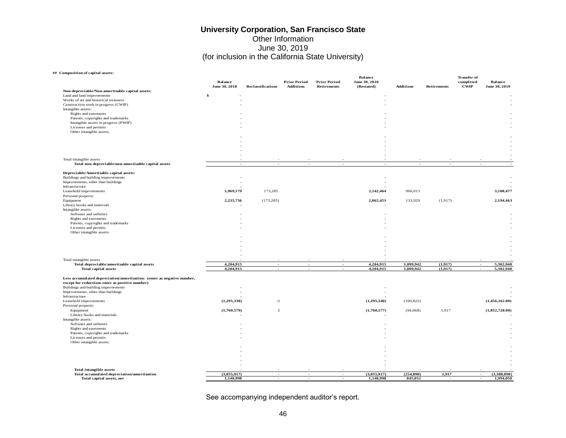## Other Information June 30, 2019 (for inclusion in the California State University)

|                                                                                        | <b>University Corporation, San Francisco State</b> |                   | Other Information<br>June 30, 2019 |                     |                                 |                        |                      |                                                   |
|----------------------------------------------------------------------------------------|----------------------------------------------------|-------------------|------------------------------------|---------------------|---------------------------------|------------------------|----------------------|---------------------------------------------------|
|                                                                                        | (for inclusion in the California State University) |                   |                                    |                     |                                 |                        |                      |                                                   |
| ## Composition of capital assets:                                                      |                                                    |                   |                                    |                     |                                 |                        |                      |                                                   |
|                                                                                        | <b>Balance</b>                                     |                   | <b>Prior Period</b>                | <b>Prior Period</b> | <b>Balance</b><br>June 30, 2018 |                        |                      | <b>Transfer of</b><br>completed<br><b>Balance</b> |
|                                                                                        | June 30, 2018                                      | Reclassifications | <b>Additions</b>                   | <b>Retirements</b>  | (Restated)                      | <b>Additions</b>       | <b>Retirements</b>   | CWP<br>June 30, 2019                              |
| Non-depreciable/Non-amortizable capital assets:<br>Land and land improvements          | \$                                                 |                   |                                    |                     |                                 |                        |                      |                                                   |
| Works of art and historical treasures                                                  |                                                    |                   |                                    |                     |                                 |                        |                      |                                                   |
| Construction work in progress (CWIP)                                                   |                                                    |                   |                                    |                     |                                 |                        |                      |                                                   |
| Intangible assets:<br>Rights and easements                                             |                                                    |                   |                                    |                     |                                 |                        |                      |                                                   |
| Patents, copyrights and trademarks                                                     |                                                    |                   |                                    |                     |                                 |                        |                      |                                                   |
| Intangible assets in progress (PWIP)                                                   |                                                    |                   |                                    |                     |                                 |                        |                      |                                                   |
| Licenses and permits<br>Other intangible assets:                                       |                                                    |                   |                                    |                     |                                 |                        |                      |                                                   |
|                                                                                        |                                                    |                   |                                    |                     |                                 |                        |                      |                                                   |
|                                                                                        |                                                    |                   |                                    |                     |                                 |                        |                      |                                                   |
|                                                                                        |                                                    |                   |                                    |                     |                                 |                        |                      |                                                   |
|                                                                                        |                                                    |                   |                                    |                     |                                 |                        |                      |                                                   |
| Total intangible assets                                                                |                                                    |                   |                                    |                     |                                 |                        |                      |                                                   |
| Total non-depreciable/non-amortizable capital assets                                   | $\sim$                                             |                   |                                    |                     |                                 |                        |                      |                                                   |
| Depreciable/Amortizable capital assets:                                                |                                                    |                   |                                    |                     |                                 |                        |                      |                                                   |
| Buildings and building improvements                                                    |                                                    |                   |                                    |                     |                                 |                        |                      |                                                   |
| Improvements, other than buildings                                                     |                                                    |                   |                                    |                     |                                 |                        |                      |                                                   |
| Infrastructure<br>Leasehold improvements                                               | 1,969,179                                          | 173,285           |                                    |                     | 2,142,464                       | 966,013                |                      | 3,108,477                                         |
| Personal property:                                                                     |                                                    |                   |                                    |                     |                                 |                        |                      |                                                   |
| Equipment                                                                              | 2,235,736                                          | (173, 285)        |                                    |                     | 2,062,451                       | 133,929                | (1, 917)             | 2,194,463                                         |
| Library books and materials<br>Intangible assets:                                      |                                                    |                   |                                    |                     |                                 |                        |                      |                                                   |
| Software and websites                                                                  |                                                    |                   |                                    |                     |                                 |                        |                      |                                                   |
| Rights and easements                                                                   |                                                    |                   |                                    |                     |                                 |                        |                      |                                                   |
| Patents, copyrights and trademarks<br>Licenses and permits                             |                                                    |                   |                                    |                     |                                 |                        |                      |                                                   |
| Other intangible assets:                                                               |                                                    |                   |                                    |                     |                                 |                        |                      |                                                   |
|                                                                                        |                                                    |                   |                                    |                     |                                 |                        |                      |                                                   |
|                                                                                        |                                                    |                   |                                    |                     |                                 |                        |                      |                                                   |
|                                                                                        |                                                    |                   |                                    |                     |                                 |                        |                      |                                                   |
|                                                                                        |                                                    |                   |                                    |                     |                                 |                        |                      |                                                   |
| Total intangible assets                                                                |                                                    |                   |                                    |                     |                                 |                        |                      |                                                   |
| Total depreciable/amortizable capital assets<br>Total capital assets                   | 4,204,915<br>4,204,915                             |                   |                                    | $\sim$              | 4,204,915<br>4,204,915          | 1,099,942<br>1,099,942 | (1, 917)<br>(1, 917) | 5,302,940<br>5,302,940                            |
|                                                                                        |                                                    |                   |                                    |                     |                                 |                        |                      |                                                   |
| Less accumulated depreciation/amortization: (enter as negative number,                 |                                                    |                   |                                    |                     |                                 |                        |                      |                                                   |
| except for reductions enter as positive number)<br>Buildings and building improvements |                                                    |                   |                                    |                     |                                 |                        |                      |                                                   |
| Improvements, other than buildings                                                     |                                                    |                   |                                    |                     |                                 |                        |                      |                                                   |
| Infrastructure                                                                         |                                                    |                   |                                    |                     |                                 |                        |                      |                                                   |
| Leasehold improvements                                                                 | (1,295,338)                                        | $-2$              |                                    |                     | (1,295,340)                     | (160, 822)             |                      | (1,456,162.00)                                    |
| Personal property:<br>Equipment                                                        | (1,760,579)                                        | $\overline{c}$    |                                    |                     | (1,760,577)                     | (94,068)               | 1,917                | (1,852,728.00)                                    |
| Library books and materials                                                            |                                                    |                   |                                    |                     |                                 |                        |                      |                                                   |
| Intangible assets:                                                                     |                                                    |                   |                                    |                     |                                 |                        |                      |                                                   |
| Software and websites<br>Rights and easements                                          |                                                    |                   |                                    |                     |                                 |                        |                      |                                                   |
| Patents, copyrights and trademarks                                                     |                                                    |                   |                                    |                     |                                 |                        |                      |                                                   |
| Licenses and permits                                                                   |                                                    |                   |                                    |                     |                                 |                        |                      |                                                   |
| Other intangible assets:                                                               |                                                    |                   |                                    |                     |                                 |                        |                      |                                                   |
|                                                                                        |                                                    |                   |                                    |                     |                                 |                        |                      |                                                   |
|                                                                                        |                                                    |                   |                                    |                     |                                 |                        |                      |                                                   |
|                                                                                        |                                                    |                   |                                    |                     |                                 |                        |                      |                                                   |
| <b>Total intangible assets</b>                                                         |                                                    |                   |                                    |                     |                                 |                        |                      |                                                   |
| Total accumulated depreciation/amortization                                            | (3,055,917)                                        |                   |                                    |                     | (3,055,917)                     | (254, 890)             | 1,917                | (3,308,890)                                       |
| Total capital assets, net                                                              | 1,148,998                                          |                   |                                    |                     | 1,148,998                       | 845,052                |                      | 1,994,050                                         |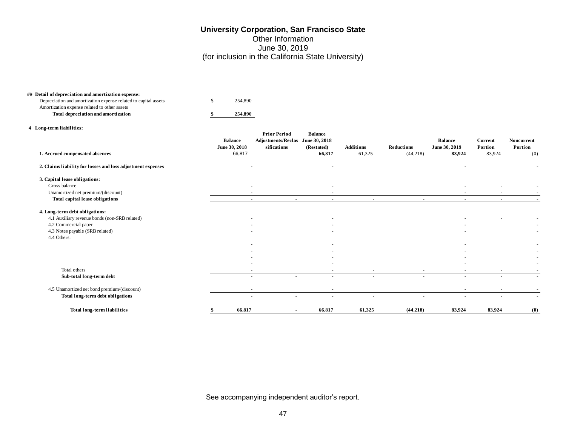Other Information June 30, 2019 (for inclusion in the California State University)

| <b>Other Information</b><br>June 30, 2019<br>(for inclusion in the California State University)                                                                                                               |                                           |                                                                        |                                        |                            |                               |                                                      |                                     |                              |
|---------------------------------------------------------------------------------------------------------------------------------------------------------------------------------------------------------------|-------------------------------------------|------------------------------------------------------------------------|----------------------------------------|----------------------------|-------------------------------|------------------------------------------------------|-------------------------------------|------------------------------|
| ## Detail of depreciation and amortization expense:<br>Depreciation and amortization expense related to capital assets<br>Amortization expense related to other assets<br>Total depreciation and amortization | \$<br>254,890<br>254,890                  |                                                                        |                                        |                            |                               |                                                      |                                     |                              |
| 4 Long-term liabilities:<br>1. Accrued compensated absences                                                                                                                                                   | <b>Balance</b><br>June 30, 2018<br>66,817 | <b>Prior Period</b><br>Adjustments/Reclas June 30, 2018<br>sifications | <b>Balance</b><br>(Restated)<br>66,817 | <b>Additions</b><br>61,325 | <b>Reductions</b><br>(44,218) | <b>Balance</b><br>June 30, 2019<br>83,924            | <b>Current</b><br>Portion<br>83,924 | Noncurrent<br>Portion<br>(0) |
| 2. Claims liability for losses and loss adjustment expenses                                                                                                                                                   |                                           |                                                                        |                                        |                            |                               |                                                      |                                     |                              |
| 3. Capital lease obligations:<br>Gross balance<br>Unamortized net premium/(discount)<br><b>Total capital lease obligations</b>                                                                                | $\mathbf{r}$                              | $\blacksquare$                                                         | $\sim$                                 | $\blacksquare$             | $\sim$                        | $\overline{\phantom{a}}$<br>$\overline{\phantom{a}}$ | $\sim$                              |                              |
| 4. Long-term debt obligations:<br>4.1 Auxiliary revenue bonds (non-SRB related)<br>4.2 Commercial paper<br>4.3 Notes payable (SRB related)<br>4.4 Others:                                                     |                                           |                                                                        |                                        |                            |                               |                                                      |                                     |                              |
| Total others<br>Sub-total long-term debt                                                                                                                                                                      |                                           | $\blacksquare$                                                         |                                        |                            | $\overline{a}$                |                                                      |                                     |                              |
| 4.5 Unamortized net bond premium/(discount)<br>Total long-term debt obligations                                                                                                                               | $\overline{\phantom{a}}$<br>٠             | ٠                                                                      | $\overline{\phantom{a}}$               |                            | $\blacksquare$                | $\blacksquare$                                       | $\sim$                              |                              |
| <b>Total long-term liabilities</b>                                                                                                                                                                            | 66,817<br>\$                              | $\blacksquare$                                                         | 66,817                                 | 61,325                     | (44,218)                      | 83,924                                               | 83,924                              | (0)                          |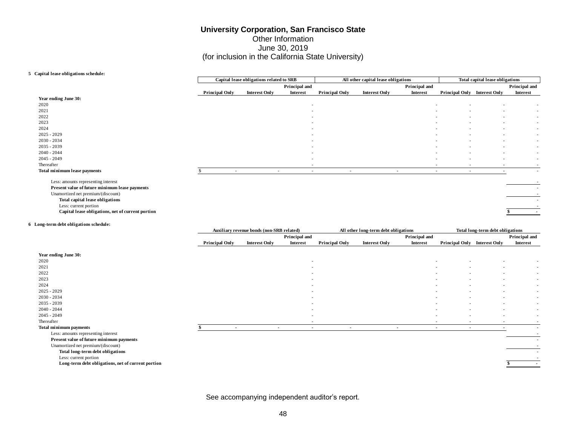## Other Information June 30, 2019 (for inclusion in the California State University)

#### **5 Capital lease obligations schedule:**

|                                                   | Capital lease obligations related to SRB |                      | All other capital lease obligations |                          |                      | Total capital lease obligations |                              |                          |                          |
|---------------------------------------------------|------------------------------------------|----------------------|-------------------------------------|--------------------------|----------------------|---------------------------------|------------------------------|--------------------------|--------------------------|
|                                                   |                                          |                      | Principal and                       |                          |                      | Principal and                   |                              |                          | Principal and            |
|                                                   | Principal Only                           | <b>Interest Only</b> | <b>Interest</b>                     | Principal Only           | <b>Interest Only</b> | Interest                        | Principal Only Interest Only |                          | <b>Interest</b>          |
| Year ending June 30:                              |                                          |                      |                                     |                          |                      |                                 |                              |                          |                          |
| 2020                                              |                                          |                      | $\sim$                              |                          |                      | $\overline{\phantom{a}}$        | . .                          | $\overline{\phantom{a}}$ | $\overline{\phantom{a}}$ |
| 2021                                              |                                          |                      | $\sim$                              |                          |                      | $\overline{\phantom{a}}$        | $\sim$                       | $\sim$                   | $\sim$                   |
| 2022                                              |                                          |                      | $\sim$                              |                          |                      | $\sim$                          |                              | $\sim$                   | $\sim$                   |
| 2023                                              |                                          |                      | <b>COL</b>                          |                          |                      | $\sim$                          |                              | $\sim$                   | $\sim$                   |
| 2024                                              |                                          |                      | $\sim$                              |                          |                      | $\overline{\phantom{a}}$        | $\overline{\phantom{a}}$     | $\overline{\phantom{a}}$ | $\sim$                   |
| $2025 - 2029$                                     |                                          |                      | $\sim$                              |                          |                      | $\sim$                          | $\sim$                       | $\overline{\phantom{a}}$ | $\sim$                   |
| $2030 - 2034$                                     |                                          |                      | <b>COL</b>                          |                          |                      |                                 |                              | $\sim$                   | $\sim$                   |
| $2035 - 2039$                                     |                                          |                      | $\sim$                              |                          |                      | . .                             |                              | $\sim$                   | $\sim$                   |
| $2040 - 2044$                                     |                                          |                      | $\sim$                              |                          |                      | $\sim$                          | $\sim$                       | $\overline{\phantom{a}}$ | $\sim$                   |
| $2045 - 2049$                                     |                                          |                      | $\sim$                              |                          |                      |                                 |                              | $\overline{\phantom{a}}$ | $\sim$                   |
| Thereafter                                        |                                          |                      | $\sim$                              |                          |                      | $\overline{\phantom{a}}$        | $\sim$                       | $\sim$                   | $\sim$                   |
| Total minimum lease payments                      |                                          | $\sim$               | $\sim$                              | $\overline{\phantom{a}}$ |                      | $\overline{\phantom{a}}$        | $\overline{\phantom{a}}$     |                          |                          |
|                                                   |                                          |                      |                                     |                          |                      |                                 |                              |                          |                          |
| Less: amounts representing interest               |                                          |                      |                                     |                          |                      |                                 |                              |                          |                          |
| Present value of future minimum lease payments    |                                          |                      |                                     |                          |                      |                                 |                              |                          | $\sim$                   |
| Unamortized net premium/(discount)                |                                          |                      |                                     |                          |                      |                                 |                              |                          |                          |
| Total capital lease obligations                   |                                          |                      |                                     |                          |                      |                                 |                              |                          | $\sim$                   |
| Less: current portion                             |                                          |                      |                                     |                          |                      |                                 |                              |                          |                          |
| Capital lease obligations, net of current portion |                                          |                      |                                     |                          |                      |                                 |                              |                          |                          |

#### **6 Long-term debt obligations schedule:**

|                                                                                                                                                                                                                                                                           |                          | Auxiliary revenue bonds (non-SRB related) |                    | All other long-term debt obligations |                      |               | Total long-term debt obligations                                                                                                                                                                      |                                                                                                                                          |                                                          |
|---------------------------------------------------------------------------------------------------------------------------------------------------------------------------------------------------------------------------------------------------------------------------|--------------------------|-------------------------------------------|--------------------|--------------------------------------|----------------------|---------------|-------------------------------------------------------------------------------------------------------------------------------------------------------------------------------------------------------|------------------------------------------------------------------------------------------------------------------------------------------|----------------------------------------------------------|
|                                                                                                                                                                                                                                                                           |                          |                                           | Principal and      |                                      |                      | Principal and |                                                                                                                                                                                                       |                                                                                                                                          | Principal and                                            |
|                                                                                                                                                                                                                                                                           | Principal Only           | <b>Interest Only</b>                      | <b>Interest</b>    | Principal Only                       | <b>Interest Only</b> | Interest      | Principal Only Interest Only                                                                                                                                                                          |                                                                                                                                          | <b>Interest</b>                                          |
| Year ending June 30:<br>2020<br>2021<br>2022<br>2023<br>2024<br>$2025 - 2029$<br>$2030 - 2034$                                                                                                                                                                            |                          |                                           | $\sim$<br>÷.       |                                      |                      |               | $\overline{\phantom{a}}$<br>$\overline{\phantom{a}}$<br>$\overline{\phantom{a}}$<br>$\sim$<br>٠<br>$\overline{\phantom{a}}$<br>$\sim$                                                                 | $\overline{\phantom{a}}$<br>$\overline{\phantom{a}}$<br>$\overline{\phantom{a}}$<br>$\overline{\phantom{a}}$<br>$\overline{\phantom{a}}$ | $\sim$<br>$\sim$<br>$\sim$<br>$\sim$<br>$\sim$<br>$\sim$ |
| $2035 - 2039$<br>$2040 - 2044$<br>$2045 - 2049$                                                                                                                                                                                                                           |                          |                                           | ۰.<br>×.<br>$\sim$ |                                      |                      |               | $\overline{\phantom{a}}$<br>$\overline{\phantom{a}}$<br>$\overline{\phantom{a}}$<br>٠<br>$\overline{\phantom{a}}$<br>$\overline{\phantom{a}}$<br>$\overline{\phantom{a}}$<br>$\overline{\phantom{a}}$ | $\overline{\phantom{a}}$<br>$\overline{\phantom{a}}$<br>$\overline{\phantom{a}}$<br>$\overline{\phantom{a}}$                             | $\sim$<br>$\sim$<br>$\sim$<br>$\sim$                     |
| Thereafter                                                                                                                                                                                                                                                                |                          |                                           |                    |                                      |                      |               |                                                                                                                                                                                                       | $\overline{\phantom{a}}$                                                                                                                 | $\sim$                                                   |
| <b>Total minimum payments</b><br>Less: amounts representing interest<br>Present value of future minimum payments<br>Unamortized net premium/(discount)<br>Total long-term debt obligations<br>Less: current portion<br>Long-term debt obligations, net of current portion | $\overline{\phantom{a}}$ | $\sim$                                    | $\sim$             | $\blacksquare$                       | $\blacksquare$       |               | $\blacksquare$<br>$\blacksquare$                                                                                                                                                                      |                                                                                                                                          | $\sim$<br>$\sim$<br>$\sim$<br>$\sim$<br>$\sim$<br>$\sim$ |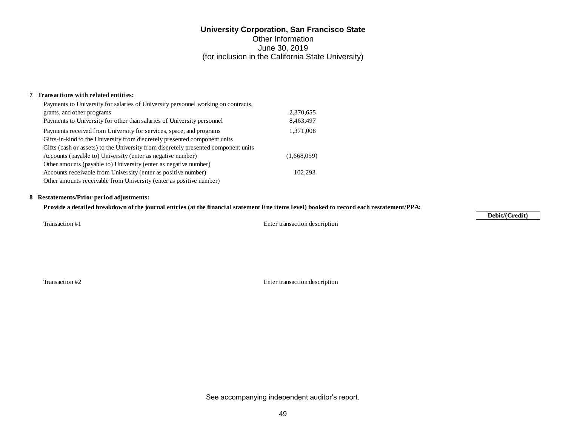Other Information June 30, 2019 (for inclusion in the California State University)

#### **7 Transactions with related entities:**

| Payments to University for salaries of University personnel working on contracts,  |             |
|------------------------------------------------------------------------------------|-------------|
| grants, and other programs                                                         | 2,370,655   |
| Payments to University for other than salaries of University personnel             | 8,463,497   |
| Payments received from University for services, space, and programs                | 1,371,008   |
| Gifts-in-kind to the University from discretely presented component units          |             |
| Gifts (cash or assets) to the University from discretely presented component units |             |
| Accounts (payable to) University (enter as negative number)                        | (1,668,059) |
| Other amounts (payable to) University (enter as negative number)                   |             |
| Accounts receivable from University (enter as positive number)                     | 102.293     |
| Other amounts receivable from University (enter as positive number)                |             |

#### **8 Restatements/Prior period adjustments:**

**Provide a detailed breakdown of the journal entries (at the financial statement line items level) booked to record each restatement/PPA:**

Transaction #1

Enter transaction description

**Debit/(Credit)**

Transaction #2 Enter transaction description